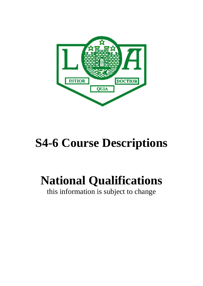

# **S4-6 Course Descriptions**

# **National Qualifications**

this information is subject to change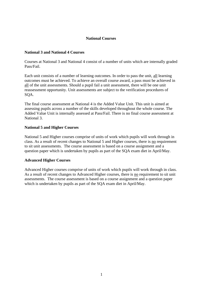# **National Courses**

### **National 3 and National 4 Courses**

Courses at National 3 and National 4 consist of a number of units which are internally graded Pass/Fail.

Each unit consists of a number of learning outcomes. In order to pass the unit, all learning outcomes must be achieved. To achieve an overall course award, a pass must be achieved in all of the unit assessments. Should a pupil fail a unit assessment, there will be one unit reassessment opportunity. Unit assessments are subject to the verification procedures of SQA.

The final course assessment at National 4 is the Added Value Unit. This unit is aimed at assessing pupils across a number of the skills developed throughout the whole course. The Added Value Unit is internally assessed at Pass/Fail. There is no final course assessment at National 3.

## **National 5 and Higher Courses**

National 5 and Higher courses comprise of units of work which pupils will work through in class. As a result of recent changes to National 5 and Higher courses, there is no requirement to sit unit assessments. The course assessment is based on a course assignment and a question paper which is undertaken by pupils as part of the SQA exam diet in April/May.

# **Advanced Higher Courses**

Advanced Higher courses comprise of units of work which pupils will work through in class. As a result of recent changes to Advanced Higher courses, there is no requirement to sit unit assessments. The course assessment is based on a course assignment and a question paper which is undertaken by pupils as part of the SQA exam diet in April/May.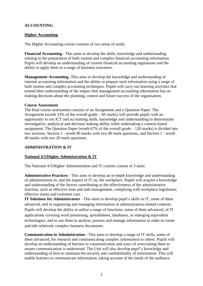# **ACCOUNTING**

# **Higher Accounting**

The Higher Accounting course consists of two areas of study:

**Financial Accounting** - This aims to develop the skills, knowledge and understanding relating to the preparation of both routine and complex financial accounting information. Pupils will develop an understanding of current financial accounting regulations and the ability to apply them in a range of business structures.

**Management Accounting -**This aims to develop the knowledge and understanding of internal accounting information and the ability to prepare such information using a range of both routine and complex accounting techniques. Pupils will carry out learning activities that extend their understanding of the impact that management accounting information has on making decisions about the planning, control and future success of the organisation.

## **Course Assessment**

The final course assessment consists of an Assignment and a Question Paper. The Assignment (worth 33% of the overall grade  $-60$  marks) will provide pupils with an opportunity to use ICT and accounting skills, knowledge and understanding to demonstrate investigative, analytical and decision making ability while undertaking a context-based assignment. The Question Paper (worth 67% of the overall grade – 120 marks) is divided into two sections: Section 1 - worth 80 marks with two 40 mark questions, and Section 2 - worth 40 marks with two 20 mark questions.

# **ADMINISTRATION & IT**

# **National 4/5/Higher Administration & IT**

The National 4/5/Higher Administration and IT courses consist of 3 units:

**Administrative Practices** - This aims to develop an in-depth knowledge and understanding of administration in, and the impact of IT on, the workplace. Pupils will acquire a knowledge and understanding of the factors contributing to the effectiveness of the administrative function, such as effective time and task management, complying with workplace legislation, effective teams and customer care.

**IT Solutions for Administrators** - This aims to develop pupil's skills in IT, some of them advanced, and in organising and managing information in administration-related contexts. Pupils will develop the ability to utilise a range of functions, some of them advanced, of IT applications covering word processing, spreadsheets, databases, or emerging equivalent technologies, and to use them to analyse, process and manage information in order to create and edit relatively complex business documents.

**Communication in Administration** - This aims to develop a range of IT skills, some of them advanced, for research and communicating complex information to others. Pupils will develop an understanding of barriers to communication and ways of overcoming them to ensure communication is understood. The Unit will also develop pupil's knowledge and understanding of how to maintain the security and confidentiality of information. This will enable learners to communicate information, taking account of the needs of the audience.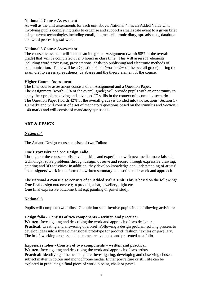## **National 4 Course Assessment**

As well as the unit assessments for each unit above, National 4 has an Added Value Unit involving pupils completing tasks to organise and support a small scale event to a given brief using current technologies including email, internet, electronic diary, spreadsheets, database and word processing software.

### **National 5 Course Assessment**

The course assessment will include an integrated Assignment (worth 58% of the overall grade) that will be completed over 3 hours in class time. This will assess IT elements including word processing, presentations, desk-top publishing and electronic methods of communication. There will be a Question Paper (worth 42% of the overall grade) during the exam diet to assess spreadsheets, databases and the theory element of the course.

## **Higher Course Assessment**

The final course assessment consists of an Assignment and a Question Paper. The Assignment (worth 58% of the overall grade) will provide pupils with an opportunity to apply their problem solving and advanced IT skills in the context of a complex scenario. The Question Paper (worth 42% of the overall grade) is divided into two sections: Section 1 - 10 marks and will consist of a set of mandatory questions based on the stimulus and Section 2 - 40 marks and will consist of mandatory questions.

# **ART & DESIGN**

# **National 4**

The Art and Design course consists of **two Folios**:

# **One Expressive** and one **Design Folio**.

Throughout the course pupils develop skills and experiment with new media, materials and technology; solve problems through design; observe and record through expressive drawing, painting and 3D activities; In addition, they develop knowledge and understanding of artists' and designers' work in the form of a written summary to describe their work and approach.

The National 4 course also consists of an **Added Value Unit**. This is based on the following: **One** final design outcome e.g. a product, a hat, jewellery, light etc. **One** final expressive outcome Unit e.g. painting or pastel study.

# **National 5**

Pupils will complete two folios. Completion shall involve pupils in the following activities:

#### **Design folio** - **Consists of two components – written and practical.**

**Written**: Investigating and describing the work and approach of two designers. **Practical:** Creating and answering of a brief. Following a design problem solving process to develop ideas into a three dimensional prototype for product, fashion, textiles or jewellery. The brief, working process and outcome are evaluated and presented as a folio.

# **Expressive folios** - Consists **of two components – written and practical.**

**Written**: Investigating and describing the work and approach of two artists. **Practical:** Identifying a theme and genre. Investigating, developing and observing chosen subject matter in colour and monochrome media. Either portraiture or still life can be explored in producing a final piece of work in paint, chalk or pastel.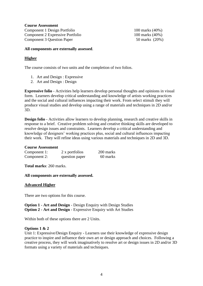**Course Assessment**  Component 1 Design Portfolio 100 marks (40%) Component 2 Expressive Portfolio 100 marks (40%) Component 3 Question Paper 50 marks (20%)

## **All components are externally assessed**.

# **Higher**

The course consists of two units and the completion of two folios.

- 1. Art and Design : Expressive
- 2. Art and Design : Design

**Expressive folio** - Activities help learners develop personal thoughts and opinions in visual form. Learners develop critical understanding and knowledge of artists working practices and the social and cultural influences impacting their work. From select stimuli they will produce visual studies and develop using a range of materials and techniques in 2D and/or 3D.

**Design folio** - Activities allow learners to develop planning, research and creative skills in response to a brief. Creative problem solving and creative thinking skills are developed to resolve design issues and constraints. Learners develop a critical understanding and knowledge of designers' working practices plus, social and cultural influences impacting their work. They will refine ideas using various materials and techniques in 2D and 3D.

#### **Course Assessment**

| Component 1: | 2 x portfolios | 200 marks |
|--------------|----------------|-----------|
| Component 2: | question paper | 60 marks  |

**Total marks**: 260 marks.

**All components are externally assessed.**

# **Advanced Higher**

There are two options for this course.

**Option 1 - Art and Design** - Design Enquiry with Design Studies **Option 2 - Art and Design** - Expressive Enquiry with Art Studies

Within both of these options there are 2 Units.

# **Options 1 & 2**

Unit 1: Expressive/Design Enquiry - Learners use their knowledge of expressive design practice to inspire and influence their own art or design approach and choices. Following a creative process, they will work imaginatively to resolve art or design issues in 2D and/or 3D formats using a variety of materials and techniques.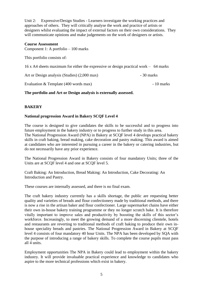Unit 2: Expressive/Design Studies - Learners investigate the working practices and approaches of others. They will critically analyse the work and practice of artists or designers whilst evaluating the impact of external factors on their own considerations. They will communicate opinions and make judgements on the work of designers or artists.

### **Course Assessment**

Component 1: A portfolio – 100 marks

This portfolio consists of:

16 x A4 sheets maximum for either the expressive or design practical work – 64 marks

Art or Design analysis (Studies) (2,000 max) - 30 marks

Evaluation & Template (400 words max) - 10 marks

# **The portfolio and Art or Design analysis is externally assessed.**

# **BAKERY**

# **National progression Award in Bakery SCQF Level 4**

The course is designed to give candidates the skills to be successful and to progress into future employment in the bakery industry or to progress to further study in this area. The National Progression Award (NPA) in Bakery at SCQF level 4 develops practical bakery skills in craft baking, bread making, cake decoration and pastry making. This award is aimed at candidates who are interested in pursuing a career in the bakery or catering industries, but do not necessarily have any prior experience.

The National Progression Award in Bakery consists of four mandatory Units; three of the Units are at SCQF level 4 and one at SCQF level 5.

Craft Baking: An Introduction, Bread Making: An Introduction, Cake Decorating: An Introduction and Pastry.

These courses are internally assessed, and there is no final exam.

The craft bakery industry currently has a skills shortage, the public are requesting better quality and varieties of breads and flour confectionery made by traditional methods, and there is now a rise in the artisan baker and flour confectioner. Large supermarket chains have either their own in-house bakery training programme or they no longer scratch bake. It is therefore vitally important to improve sales and productivity by boosting the skills of this sector's workforce. Increasingly, to meet the growing demand of a more discerning clientele, hotels and restaurants are reverting to traditional methods of craft baking to produce their own inhouse speciality breads and pastries. The National Progression Award in Bakery at SCQF level 4 consists of four mandatory 40 hour Units. The NPA has been developed by SQA with the purpose of introducing a range of bakery skills. To complete the course pupils must pass all 4 units.

Employment opportunities The NPA in Bakery could lead to employment within the bakery industry. It will provide invaluable practical experience and knowledge to candidates who aspire to the more technical professions which exist in bakery.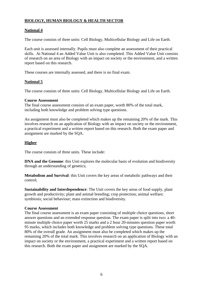# **BIOLOGY, HUMAN BIOLOGY & HEALTH SECTOR**

# **National 4**

The course consists of three units: Cell Biology, Multicellular Biology and Life on Earth.

Each unit is assessed internally. Pupils must also complete an assessment of their practical skills. At National 4 an Added Value Unit is also completed. This Added Value Unit consists of research on an area of Biology with an impact on society or the environment, and a written report based on this research.

These courses are internally assessed, and there is no final exam.

# **National 5**

The course consists of three units: Cell Biology, Multicellular Biology and Life on Earth.

# **Course Assessment**

The final course assessment consists of an exam paper, worth 80% of the total mark, including both knowledge and problem solving type questions.

An assignment must also be completed which makes up the remaining 20% of the mark. This involves research on an application of Biology with an impact on society or the environment, a practical experiment and a written report based on this research. Both the exam paper and assignment are marked by the SQA.

# **Higher**

The course consists of three units. These include:

**DNA and the Genome:** this Unit explores the molecular basis of evolution and biodiversity through an understanding of genetics;

**Metabolism and Survival**: this Unit covers the key areas of metabolic pathways and their control;

**Sustainability and Interdependence**: The Unit covers the key areas of food supply, plant growth and productivity; plant and animal breeding; crop protection; animal welfare; symbiosis; social behaviour; mass extinction and biodiversity.

# **Course Assessment**

The final course assessment is an exam paper consisting of multiple choice questions, short answer questions and an extended response question. The exam paper is split into two: a 40 minute multiple choice paper worth 25 marks and a 2 hour 20-minutes question paper worth 95 marks, which includes both knowledge and problem solving type questions. These total 80% of the overall grade. An assignment must also be completed which makes up the remaining 20% of the total mark. This involves research on an application of Biology with an impact on society or the environment, a practical experiment and a written report based on this research. Both the exam paper and assignment are marked by the SQA.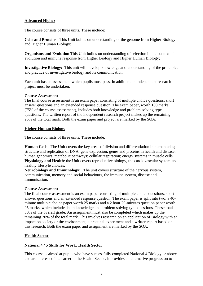# **Advanced Higher**

The course consists of three units. These include:

**Cells and Proteins**: This Unit builds on understanding of the genome from Higher Biology and Higher Human Biology;

**Organisms and Evolution** This Unit builds on understanding of selection in the context of evolution and immune response from Higher Biology and Higher Human Biology;

**Investigative Biology:** This unit will develop knowledge and understanding of the principles and practice of investigative biology and its communication.

Each unit has an assessment which pupils must pass. In addition, an independent research project must be undertaken.

#### **Course Assessment**

The final course assessment is an exam paper consisting of multiple choice questions, short answer questions and an extended response question. The exam paper, worth 100 marks (75% of the course assessment), includes both knowledge and problem solving type questions. The written report of the independent research project makes up the remaining 25% of the total mark. Both the exam paper and project are marked by the SQA.

## **Higher Human Biology**

The course consists of three units. These include:

**Human Cells** : The Unit covers the key areas of division and differentiation in human cells; structure and replication of DNA; gene expression; genes and proteins in health and disease; human genomics; metabolic pathways; cellular respiration; energy systems in muscle cells. **Physiology and Health**: the Unit covers reproductive biology, the cardiovascular system and healthy lifestyle choices.

**Neurobiology and Immunology**: The unit covers structure of the nervous system, communication, memory and social behaviours, the immune system, disease and immunisation.

#### **Course Assessment**

The final course assessment is an exam paper consisting of multiple choice questions, short answer questions and an extended response question. The exam paper is split into two: a 40 minute multiple choice paper worth 25 marks and a 2 hour 20-minutes question paper worth 95 marks, which includes both knowledge and problem solving type questions. These total 80% of the overall grade. An assignment must also be completed which makes up the remaining 20% of the total mark. This involves research on an application of Biology with an impact on society or the environment, a practical experiment and a written report based on this research. Both the exam paper and assignment are marked by the SQA.

# **Health Sector**

# **National 4 / 5 Skills for Work: Health Sector**

This course is aimed at pupils who have successfully completed National 4 Biology or above and are interested in a career in the Health Sector. It provides an alternative progression to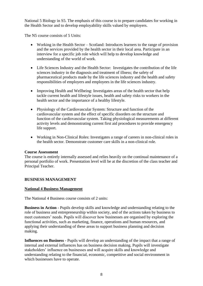National 5 Biology in S5. The emphasis of this course is to prepare candidates for working in the Health Sector and to develop employability skills valued by employers.

The N5 course consists of 5 Units:

- Working in the Health Sector Scotland: Introduces learners to the range of provision and the services provided by the health sector in their local area. Participate in an interview for a specific job role which will help to develop knowledge and understanding of the world of work.
- Life Sciences Industry and the Health Sector: Investigates the contribution of the life sciences industry in the diagnosis and treatment of illness; the safety of pharmaceutical products made by the life sciences industry and the health and safety responsibilities of employers and employees in the life sciences industry.
- Improving Health and Wellbeing: Investigates areas of the health sector that help tackle current health and lifestyle issues, health and safety risks to workers in the health sector and the importance of a healthy lifestyle.
- Physiology of the Cardiovascular System: Structure and function of the cardiovascular system and the effect of specific disorders on the structure and function of the cardiovascular system. Taking physiological measurements at different activity levels and demonstrating current first aid procedures to provide emergency life support.
- Working in Non-Clinical Roles: Investigates a range of careers in non-clinical roles in the health sector. Demonstrate customer care skills in a non-clinical role.

#### **Course Assessment**

The course is entirely internally assessed and relies heavily on the continual maintenance of a personal portfolio of work. Presentation level will be at the discretion of the class teacher and Principal Teacher.

#### **BUSINESS MANAGEMENT**

#### **National 4 Business Management**

The National 4 Business course consists of 2 units:

**Business in Action** - Pupils develop skills and knowledge and understanding relating to the role of business and entrepreneurship within society, and of the actions taken by business to meet customers' needs. Pupils will discover how businesses are organised by exploring the functional activities, such as marketing, finance, operations and human resources, and applying their understanding of these areas to support business planning and decision making.

**Influences on Business** - Pupils will develop an understanding of the impact that a range of internal and external influences has on business decision making. Pupils will investigate stakeholders' influence on businesses and will acquire skills and knowledge and understanding relating to the financial, economic, competitive and social environment in which businesses have to operate.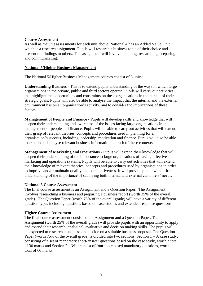#### **Course Assessment**

As well as the unit assessments for each unit above, National 4 has an Added Value Unit which is a research assignment. Pupils will research a business topic of their choice and present the findings to others. This assignment will involve planning, researching, preparing and communicating.

#### **National 5/Higher Business Management**

The National 5/Higher Business Management courses consist of 3 units:

**Understanding Business** - This is to extend pupils understanding of the ways in which large organisations in the private, public and third sectors operate. Pupils will carry out activities that highlight the opportunities and constraints on these organisations in the pursuit of their strategic goals. Pupils will also be able to analyse the impact that the internal and the external environment has on an organisation's activity, and to consider the implications of these factors.

**Management of People and Finance** - Pupils will develop skills and knowledge that will deepen their understanding and awareness of the issues facing large organisations in the management of people and finance. Pupils will be able to carry out activities that will extend their grasp of relevant theories, concepts and procedures used in planning for an organisation's success, including leadership, motivation and finance. Pupils will also be able to explain and analyse relevant business information, in each of these contexts.

**Management of Marketing and Operations** - Pupils will extend their knowledge that will deepen their understanding of the importance to large organisations of having effective marketing and operations systems. Pupils will be able to carry out activities that will extend their knowledge of relevant theories, concepts and procedures used by organisations in order to improve and/or maintain quality and competitiveness. It will provide pupils with a firm understanding of the importance of satisfying both internal and external customers' needs.

#### **National 5 Course Assessment**

The final course assessment is an Assignment and a Question Paper. The Assignment involves researching a business and preparing a business report (worth 25% of the overall grade). The Question Paper (worth 75% of the overall grade) will have a variety of different question types including questions based on case studies and extended response questions.

#### **Higher Course Assessment**

The final course assessment consists of an Assignment and a Question Paper. The Assignment (worth 25% of the overall grade) will provide pupils with an opportunity to apply and extend their research, analytical, evaluative and decision making skills. The pupils will be expected to research a business and decide on a suitable business proposal. The Question Paper (worth 75% of the overall grade) is divided into two sections: Section  $1 - A$  case study, consisting of a set of mandatory short-answer questions based on the case study, worth a total of 30 marks and Section 2 – Will consist of four topic based mandatory questions, worth a total of 60 marks.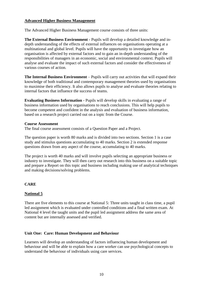# **Advanced Higher Business Management**

The Advanced Higher Business Management course consists of three units:

**The External Business Environment -** Pupils will develop a detailed knowledge and indepth understanding of the effects of external influences on organisations operating at a multinational and global level. Pupils will have the opportunity to investigate how an organisation is affected by external factors and to gain an in-depth understanding of the responsibilities of managers in an economic, social and environmental context. Pupils will analyse and evaluate the impact of such external factors and consider the effectiveness of various courses of action.

**The Internal Business Environment** – Pupils will carry out activities that will expand their knowledge of both traditional and contemporary management theories used by organisations to maximise their efficiency. It also allows pupils to analyse and evaluate theories relating to internal factors that influence the success of teams.

**Evaluating Business Information -** Pupils will develop skills in evaluating a range of business information used by organisations to reach conclusions. This will help pupils to become competent and confident in the analysis and evaluation of business information, based on a research project carried out on a topic from the Course.

#### **Course Assessment**

The final course assessment consists of a Question Paper and a Project.

The question paper is worth 80 marks and is divided into two sections. Section 1 is a case study and stimulus questions accumulating to 40 marks. Section 2 is extended response questions drawn from any aspect of the course, accumulating to 40 marks.

The project is worth 40 marks and will involve pupils selecting an appropriate business or industry to investigate. They will then carry out research into this business on a suitable topic and prepare a Report on this topic and business including making use of analytical techniques and making decisions/solving problems.

# **CARE**

# **National 5**

There are five elements to this course at National 5: Three units taught in class time, a pupil led assignment which is evaluated under controlled conditions and a final written exam. At National 4 level the taught units and the pupil led assignment address the same area of content but are internally assessed and verified.

# **Unit One: Care: Human Development and Behaviour**

Learners will develop an understanding of factors influencing human development and behaviour and will be able to explain how a care worker can use psychological concepts to understand the behaviour of individuals using care services.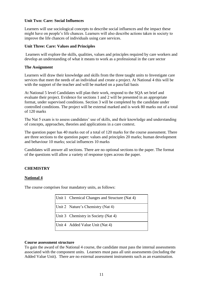## **Unit Two: Care: Social Influences**

Learners will use sociological concepts to describe social influences and the impact these might have on people's life chances. Learners will also describe actions taken in society to improve the life chances of individuals using care services.

### **Unit Three: Care: Values and Principles**

Learners will explore the skills, qualities, values and principles required by care workers and develop an understanding of what it means to work as a professional in the care sector

### **The Assignment**

Learners will draw their knowledge and skills from the three taught units to Investigate care services that meet the needs of an individual and create a project. At National 4 this will be with the support of the teacher and will be marked on a pass/fail basis

At National 5 level Candidates will plan their work, respond to the SQA set brief and evaluate their project. Evidence for sections 1 and 2 will be presented in an appropriate format, under supervised conditions. Section 3 will be completed by the candidate under controlled conditions. The project will be external marked and is work 80 marks out of a total of 120 marks

The Nat 5 exam is to assess candidates' use of skills, and their knowledge and understanding of concepts, approaches, theories and applications in a care context.

The question paper has 40 marks out of a total of 120 marks for the course assessment. There are three sections to the question paper: values and principles 20 marks; human development and behaviour 10 marks; social influences 10 marks

Candidates will answer all sections. There are no optional sections to the paper. The format of the questions will allow a variety of response types across the paper.

# **CHEMISTRY**

# **National 4**

The course comprises four mandatory units, as follows:

| Unit 1 Chemical Changes and Structure (Nat 4) |
|-----------------------------------------------|
| Unit 2 Nature's Chemistry (Nat 4)             |
| Unit 3 Chemistry in Society (Nat 4)           |
| Unit 4 Added Value Unit (Nat 4)               |

#### **Course assessment structure**

To gain the award of the National 4 course, the candidate must pass the internal assessments associated with the component units. Learners must pass all unit assessments (including the Added Value Unit). There are no external assessment instruments such as an examination.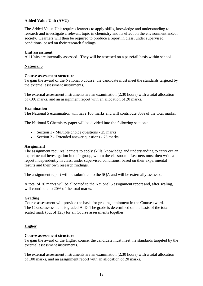# **Added Value Unit (AVU)**

The Added Value Unit requires learners to apply skills, knowledge and understanding to research and investigate a relevant topic in chemistry and its effect on the environment and/or society. Learners will then be required to produce a report in class, under supervised conditions, based on their research findings.

#### **Unit assessment**

All Units are internally assessed. They will be assessed on a pass/fail basis within school.

## **National 5**

#### **Course assessment structure**

To gain the award of the National 5 course, the candidate must meet the standards targeted by the external assessment instruments.

The external assessment instruments are an examination (2.30 hours) with a total allocation of /100 marks, and an assignment report with an allocation of 20 marks.

#### **Examination**

The National 5 examination will have 100 marks and will contribute 80% of the total marks.

The National 5 Chemistry paper will be divided into the following sections:

- Section 1 Multiple choice questions 25 marks
- Section 2 Extended answer questions 75 marks

#### **Assignment**

The assignment requires learners to apply skills, knowledge and understanding to carry out an experimental investigation in their group, within the classroom. Learners must then write a report independently in class, under supervised conditions, based on their experimental results and their own research findings.

The assignment report will be submitted to the SQA and will be externally assessed.

A total of 20 marks will be allocated to the National 5 assignment report and, after scaling, will contribute to 20% of the total marks.

#### **Grading**

Course assessment will provide the basis for grading attainment in the Course award. The Course assessment is graded A–D. The grade is determined on the basis of the total scaled mark (out of 125) for all Course assessments together.

#### **Higher**

#### **Course assessment structure**

To gain the award of the Higher course, the candidate must meet the standards targeted by the external assessment instruments.

The external assessment instruments are an examination (2.30 hours) with a total allocation of 100 marks, and an assignment report with an allocation of 20 marks.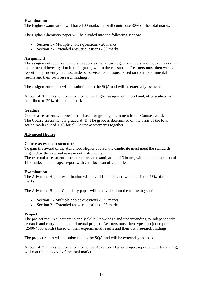# **Examination**

The Higher examination will have 100 marks and will contribute 80% of the total marks.

The Higher Chemistry paper will be divided into the following sections:

- Section 1 Multiple choice questions 20 marks
- Section 2 Extended answer questions 80 marks

### **Assignment**

The assignment requires learners to apply skills, knowledge and understanding to carry out an experimental investigation in their group, within the classroom. Learners must then write a report independently in class, under supervised conditions, based on their experimental results and their own research findings.

The assignment report will be submitted to the SQA and will be externally assessed.

A total of 20 marks will be allocated to the Higher assignment report and, after scaling, will contribute to 20% of the total marks.

# **Grading**

Course assessment will provide the basis for grading attainment in the Course award. The Course assessment is graded A–D. The grade is determined on the basis of the total scaled mark (out of 150) for all Course assessments together.

#### **Advanced Higher**

#### **Course assessment structure**

To gain the award of the Advanced Higher course, the candidate must meet the standards targeted by the external assessment instruments.

The external assessment instruments are an examination of 3 hours, with a total allocation of 110 marks, and a project report with an allocation of 25 marks.

#### **Examination**

The Advanced Higher examination will have 110 marks and will contribute 75% of the total marks.

The Advanced Higher Chemistry paper will be divided into the following sections:

- Section 1 Multiple choice questions 25 marks
- Section 2 Extended answer questions 85 marks

#### **Project**

The project requires learners to apply skills, knowledge and understanding to independently research and carry out an experimental project. Learners must then type a project report (2500-4500 words) based on their experimental results and their own research findings.

The project report will be submitted to the SQA and will be externally assessed.

A total of 25 marks will be allocated to the Advanced Higher project report and, after scaling, will contribute to 25% of the total marks.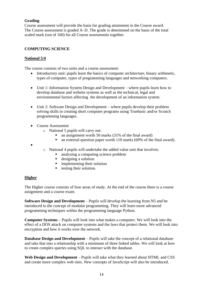# **Grading**

Course assessment will provide the basis for grading attainment in the Course award. The Course assessment is graded A–D. The grade is determined on the basis of the total scaled mark (out of 160) for all Course assessments together.

# **COMPUTING SCIENCE**

# **National 5/4**

The course consists of two units and a course assessment:

- Introductory unit: pupils learn the basics of computer architecture, binary arithmetic, types of computer, types of programming languages and networking computers.
- Unit 1: Information System Design and Development where pupils learn how to develop database and website systems as well as the technical, legal and environmental factors affecting the development of an information system.
- Unit 2: Software Design and Development where pupils develop their problem solving skills in creating short computer programs using Truebasic and/or Scratch programming languages.
- Course Assessment
	- o National 5 pupils will carry out:
		- an assignment worth 50 marks  $(31\% \text{ of the final award})$
		- an external question paper worth 110 marks (69% of the final award).
- - o National 4 pupils will undertake the added value unit that involves:
		- analysing a computing science problem<br>■ designing a solution
		- designing a solution
		- $\blacksquare$  implementing their solution
		- testing their solution.

# **Higher**

The Higher course consists of four areas of study. At the end of the course there is a course assignment and a course exam.

**Software Design and Development** – Pupils will develop the learning from N5 and be introduced to the concept of modular programming. They will learn more advanced programming techniques within the programming language Python.

**Computer Systems** – Pupils will look into what makes a computer. We will look into the effect of a DOS attack on computer systems and the laws that protect them. We will look into encryption and how it works over the network.

**Database Design and Development** – Pupils will take the concept of a relational database and take that into a relationship with a minimum of three linked tables. We will look at how to create complex queries using SQL to interact with the database.

**Web Design and Development** – Pupils will take what they learned about HTML and CSS and create more complex web sites. New concepts of JavaScript will also be introduced.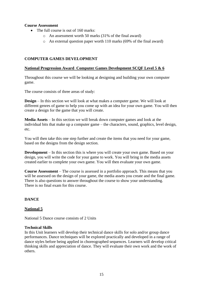# **Course Assessment**

- The full course is out of 160 marks:
	- o An assessment worth 50 marks (31% of the final award)
	- o An external question paper worth 110 marks (69% of the final award)

### **COMPUTER GAMES DEVELOPMENT**

#### **National Progression Award Computer Games Development SCQF Level 5 & 6**

Throughout this course we will be looking at designing and building your own computer game.

The course consists of three areas of study:

**Design** – In this section we will look at what makes a computer game. We will look at different genres of game to help you come up with an idea for your own game. You will then create a design for the game that you will create.

**Media Assets** – In this section we will break down computer games and look at the individual bits that make up a computer game – the characters, sound, graphics, level design, etc.

You will then take this one step further and create the items that you need for your game, based on the designs from the design section.

**Development** – In this section this is where you will create your own game. Based on your design, you will write the code for your game to work. You will bring in the media assets created earlier to complete your own game. You will then evaluate your own game.

**Course Assessment** – The course is assessed in a portfolio approach. This means that you will be assessed on the design of your game, the media assets you create and the final game. There is also questions to answer throughout the course to show your understanding. There is no final exam for this course.

# **DANCE**

#### **National 5**

National 5 Dance course consists of 2 Units

#### **Technical Skills**

In this Unit learners will develop their technical dance skills for solo and/or group dance performances. Dance techniques will be explored practically and developed in a range of dance styles before being applied in choreographed sequences. Learners will develop critical thinking skills and appreciation of dance. They will evaluate their own work and the work of others.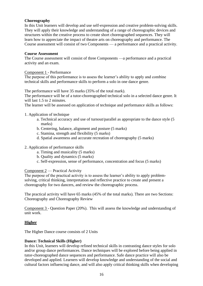## **Choreography**

In this Unit learners will develop and use self-expression and creative problem-solving skills. They will apply their knowledge and understanding of a range of choreographic devices and structures within the creative process to create short choreographed sequences. They will learn how to appreciate the impact of theatre arts on choreography and performance. The Course assessment will consist of two Components — a performance and a practical activity.

#### **Course Assessment**

The Course assessment will consist of three Components —a performance and a practical activity and an exam.

#### Component 1 - Performance

The purpose of this performance is to assess the learner's ability to apply and combine technical skills and performance skills to perform a solo in one dance genre.

The performance will have 35 marks (35% of the total mark).

The performance will be of a tutor-choreographed technical solo in a selected dance genre. It will last 1.5 to 2 minutes.

The learner will be assessed on application of technique and performance skills as follows:

#### 1. Application of technique

- a. Technical accuracy and use of turnout/parallel as appropriate to the dance style (5 marks)
- b. Centering, balance, alignment and posture (5 marks)
- c. Stamina, strength and flexibility (5 marks)
- d. Spatial awareness and accurate recreation of choreography (5 marks)
- 2. Application of performance skills
	- a. Timing and musicality (5 marks)
	- b. Quality and dynamics (5 marks)
	- c. Self-expression, sense of performance, concentration and focus (5 marks)

#### Component 2 — Practical Activity

The purpose of the practical activity is to assess the learner's ability to apply problemsolving, critical thinking, interpretation and reflective practice to create and present a choreography for two dancers, and review the choreographic process.

The practical activity will have 65 marks (45% of the total marks). There are two Sections: Choreography and Choreography Review

Component 3 - Question Paper (20%). This will assess the knowledge and understanding of unit work.

# **Higher**

The Higher Dance course consists of 2 Units

#### **Dance: Technical Skills (Higher)**

In this Unit, learners will develop refined technical skills in contrasting dance styles for solo and/or group dance performances. Dance techniques will be explored before being applied in tutor-choreographed dance sequences and performance. Safe dance practice will also be developed and applied. Learners will develop knowledge and understanding of the social and cultural factors influencing dance, and will also apply critical thinking skills when developing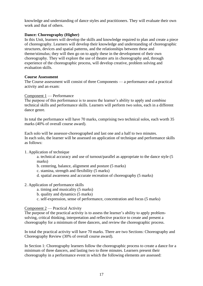knowledge and understanding of dance styles and practitioners. They will evaluate their own work and that of others.

## **Dance: Choreography (Higher)**

In this Unit, learners will develop the skills and knowledge required to plan and create a piece of choreography. Learners will develop their knowledge and understanding of choreographic structures, devices and spatial patterns, and the relationships between these and theme/stimulus; they will then go on to apply these in the development of their own choreography. They will explore the use of theatre arts in choreography and, through experience of the choreographic process, will develop creative, problem solving and evaluation skills.

## **Course Assessment**

The Course assessment will consist of three Components — a performance and a practical activity and an exam:

Component 1 — Performance

The purpose of this performance is to assess the learner's ability to apply and combine technical skills and performance skills. Learners will perform two solos, each in a different dance genre.

In total the performance will have 70 marks, comprising two technical solos, each worth 35 marks (40% of overall course award).

Each solo will be assessor-choreographed and last one and a half to two minutes. In each solo, the learner will be assessed on application of technique and performance skills as follows:

1. Application of technique

a. technical accuracy and use of turnout/parallel as appropriate to the dance style (5 marks)

- b. centering, balance, alignment and posture (5 marks)
- c. stamina, strength and flexibility (5 marks)
- d. spatial awareness and accurate recreation of choreography (5 marks)

# 2. Application of performance skills

- a. timing and musicality (5 marks)
- b. quality and dynamics (5 marks)
- c. self-expression, sense of performance, concentration and focus (5 marks)

# Component 2 — Practical Activity

The purpose of the practical activity is to assess the learner's ability to apply problemsolving, critical thinking, interpretation and reflective practice to create and present a choreography for a minimum of three dancers, and review the choreographic process.

In total the practical activity will have 70 marks. There are two Sections: Choreography and Choreography Review (30% of overall course award).

In Section 1: Choreography learners follow the choreographic process to create a dance for a minimum of three dancers, and lasting two to three minutes. Learners present their choreography in a performance event in which the following elements are assessed: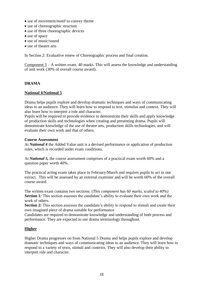- use of movement/motif to convey theme
- use of choreographic structure
- use of three choreographic devices
- use of space
- use of music/sound
- use of theatre arts

In Section 2: Evaluative renew of Choreographic process and final creation.

Component 3 – A written exam. 40 marks. This will assess the knowledge and understanding of unit work (30% of overall course award).

# **DRAMA**

## **National 4/National 5**

Drama helps pupils explore and develop dramatic techniques and ways of communicating ideas to an audience. They will learn how to respond to text, stimulus and context. They will also learn how to interpret a role and character.

Pupils will be required to provide evidence to demonstrate their skills and apply knowledge of production skills and technologies when creating and presenting drama. Pupils will demonstrate knowledge of the use of theatre arts, production skills technologies, and will evaluate their own work and that of others.

#### **Course Assessment**

At *National 4* the Added Value unit is a devised performance or application of production roles, which is recorded under exam conditions.

At *National 5,* the course assessment comprises of a practical exam worth 60% and a question paper worth 40%.

The practical acting exam takes place in February/March and requires pupils to act in one extract. This will be assessed by an external examiner and will be worth 60% of the overall course award.

The written exam contains two sections: (*This component has 60 marks, scaled to 40%)* **Section 1***:* This section assesses the candidate's ability to evaluate their own work and the work of others.

**Section 2***:* This section assesses the candidate's ability to respond to stimuli and create their own imagined piece of drama suitable for performance

Candidates are required to demonstrate knowledge and understanding of both process and performance. They are expected to use drama terminology throughout.

# **Higher**

Higher Drama progresses on from National 5 Drama and helps pupils explore and develop dramatic techniques and ways of communicating ideas to an audience. They will learn how to respond to a variety of texts, stimuli and contexts. They will also develop their ability to interpret role and character.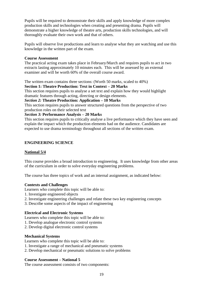Pupils will be required to demonstrate their skills and apply knowledge of more complex production skills and technologies when creating and presenting drama. Pupils will demonstrate a higher knowledge of theatre arts, production skills technologies, and will thoroughly evaluate their own work and that of others.

Pupils will observe live productions and learn to analyse what they are watching and use this knowledge in the written part of the exam.

#### **Course Assessment**

The practical acting exam takes place in February/March and requires pupils to act in two extracts lasting approximately 10 minutes each. This will be assessed by an external examiner and will be worth 60% of the overall course award.

The written exam contains three sections: (Worth 50 marks, scaled to 40%)

## **Section 1: Theatre Production: Text in Context – 20 Marks**

This section requires pupils to analyse a set text and explain how they would highlight dramatic features through acting, directing or design elements.

*Section 2:* **Theatre Production: Application – 10 Marks**

This section requires pupils to answer structured questions from the perspective of two production roles on their selected text

# *Section 3:* **Performance Analysis – 20 Marks**

This section requires pupils to critically analyse a live performance which they have seen and explain the impact which the production elements had on the audience. Candidates are expected to use drama terminology throughout all sections of the written exam.

## **ENGINEERING SCIENCE**

# **National 5/4**

This course provides a broad introduction to engineering. It uses knowledge from other areas of the curriculum in order to solve everyday engineering problems.

The course has three topics of work and an internal assignment, as indicated below:

# **Contexts and Challenges**

Learners who complete this topic will be able to:

- 1. Investigate engineered objects
- 2. Investigate engineering challenges and relate these two key engineering concepts
- 3. Describe some aspects of the impact of engineering

# **Electrical and Electronic Systems**

Learners who complete this topic will be able to:

- 1. Develop analogue electronic control systems
- 2. Develop digital electronic control systems

#### **Mechanical Systems**

Learners who complete this topic will be able to:

- 1. Investigate a range of mechanical and pneumatic systems
- 2. Develop mechanical or pneumatic solutions to solve problems

#### **Course Assessment – National 5**

The course assessment consists of two components: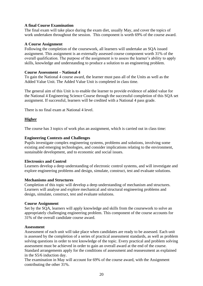# **A final Course Examination**

The final exam will take place during the exam diet, usually May, and cover the topics of work undertaken throughout the session. This component is worth 69% of the course award.

### **A Course Assignment**

Following the completion of the coursework, all learners will undertake an SQA issued assignment. This assignment is an externally assessed course component worth 31% of the overall qualification. The purpose of the assignment is to assess the learner's ability to apply skills, knowledge and understanding to produce a solution to an engineering problem.

#### **Course Assessment – National 4**

To gain the National 4 course award, the learner must pass all of the Units as well as the Added Value Unit. The Added Value Unit is completed in class time.

The general aim of this Unit is to enable the learner to provide evidence of added value for the National 4 Engineering Science Course through the successful completion of this SQA set assignment. If successful, learners will be credited with a National 4 pass grade.

There is no final exam at National 4 level.

## **Higher**

The course has 3 topics of work plus an assignment, which is carried out in class time:

## **Engineering Contexts and Challenges**

Pupils investigate complex engineering systems, problems and solutions, involving some existing and emerging technologies, and consider implications relating to the environment, sustainable development, and to economic and social issues.

#### **Electronics and Control**

Learners develop a deep understanding of electronic control systems, and will investigate and explore engineering problems and design, simulate, construct, test and evaluate solutions.

#### **Mechanisms and Structures**

Completion of this topic will develop a deep understanding of mechanism and structures. Learners will analyse and explore mechanical and structural engineering problems and design, simulate, construct, test and evaluate solutions.

#### **Course Assignment**

Set by the SQA, learners will apply knowledge and skills from the coursework to solve an appropriately challenging engineering problem. This component of the course accounts for 31% of the overall candidate course award.

#### **Assessment**

Assessment of each unit will take place when candidates are ready to be assessed. Each unit is assessed by the completion of a series of practical assessment standards, as well as problem solving questions in order to test knowledge of the topic. Every practical and problem solving assessment must be achieved in order to gain an overall award at the end of the course. Standard arrangements apply for the conditions of assessment and reassessment as explained in the S5/6 induction day.

The examination in May will account for 69% of the course award, with the Assignment contributing the other 31%.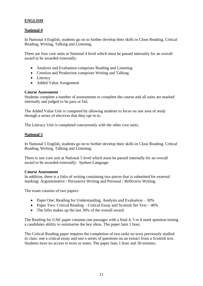# **ENGLISH**

# **National 4**

In National 4 English, students go on to further develop their skills in Close Reading, Critical Reading, Writing, Talking and Listening.

There are four core units at National 4 level which must be passed internally for an overall award to be awarded externally:

- Analysis and Evaluation comprises Reading and Listening
- Creation and Production comprises Writing and Talking
- Literacy
- Added Value Assignment

## **Course Assessment**

Students complete a number of assessments to complete the course and all units are marked internally and judged to be pass or fail.

The Added Value Unit is competed by allowing students to focus on one area of study through a series of electives that they opt in to.

The Literacy Unit is completed concurrently with the other core units.

## **National 5**

In National 5 English, students go on to further develop their skills in Close Reading, Critical Reading, Writing, Talking and Listening.

There is one core unit at National 5 level which must be passed internally for an overall award to be awarded externally: Spoken Language

#### **Course Assessment**

In addition, there is a folio of writing containing two pieces that is submitted for external marking: Argumentative / Persuasive Writing and Personal / Reflective Writing.

The exam consists of two papers:

- Paper One: Reading for Understanding, Analysis and Evaluation 30%
- Paper Two: Critical Reading Critical Essay and Scottish Set Text 40%
- The folio makes up the last 30% of the overall award.

The Reading for UAE paper contains one passages with a final 4, 5 or 6 mark question testing a candidates ability to summarise the key ideas. The paper lasts 1 hour.

The Critical Reading paper requires the completion of two tasks on texts previously studied in class: one a critical essay and one a series of questions on an extract from a Scottish text. Students have no access to texts or notes. The paper lasts 1 hour and 30 minutes.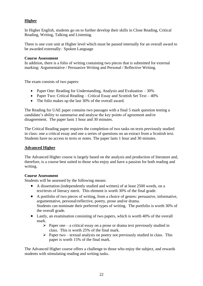# **Higher**

In Higher English, students go on to further develop their skills in Close Reading, Critical Reading, Writing, Talking and Listening.

There is one core unit at Higher level which must be passed internally for an overall award to be awarded externally: Spoken Language

## **Course Assessment**

In addition, there is a folio of writing containing two pieces that is submitted for external marking: Argumentative / Persuasive Writing and Personal / Reflective Writing.

The exam consists of two papers:

- Paper One: Reading for Understanding, Analysis and Evaluation 30%
- Paper Two: Critical Reading Critical Essay and Scottish Set Text  $40\%$
- The folio makes up the last 30% of the overall award.

The Reading for UAE paper contains two passages with a final 5 mark question testing a candidate's ability to summarise and analyse the key points of agreement and/or disagreement. The paper lasts 1 hour and 30 minutes.

The Critical Reading paper requires the completion of two tasks on texts previously studied in class: one a critical essay and one a series of questions on an extract from a Scottish text. Students have no access to texts or notes. The paper lasts 1 hour and 30 minutes.

# **Advanced Higher**

The Advanced Higher course is largely based on the analysis and production of literature and, therefore, is a course best suited to those who enjoy and have a passion for both reading and writing.

# **Course Assessment**

Students will be assessed by the following means:

- A dissertation (independently studied and written) of at least 2500 words, on a text/texts of literacy merit. This element is worth 30% of the final grade.
- A portfolio of two pieces of writing, from a choice of genres: persuasive, informative, argumentative, personal/reflective, poetry, prose and/or drama. Students can nominate their preferred types of writing. The portfolio is worth 30% of the overall grade.
- Lastly, an examination consisting of two papers, which is worth 40% of the overall mark.
	- $\triangleright$  Paper one a critical essay on a prose or drama text previously studied in class. This is worth 25% of the final mark.
	- $\triangleright$  Paper two textual analysis on poetry not previously studied in class. This paper is worth 15% of the final mark.

The Advanced Higher course offers a challenge to those who enjoy the subject, and rewards students with stimulating reading and writing tasks.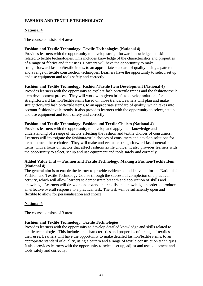# **FASHION AND TEXTILE TECHNOLOGY**

# **National 4**

The course consists of 4 areas:

## **Fashion and Textile Technology: Textile Technologies (National 4)**

Provides learners with the opportunity to develop straightforward knowledge and skills related to textile technologies. This includes knowledge of the characteristics and properties of a range of fabrics and their uses. Learners will have the opportunity to make straightforward fashion/textile items, to an appropriate standard of quality, using a pattern and a range of textile construction techniques. Learners have the opportunity to select, set up and use equipment and tools safely and correctly.

# **Fashion and Textile Technology: Fashion/Textile Item Development (National 4)**

Provides learners with the opportunity to explore fashion/textile trends and the fashion/textile item development process. They will work with given briefs to develop solutions for straightforward fashion/textile items based on those trends. Learners will plan and make straightforward fashion/textile items, to an appropriate standard of quality, which takes into account fashion/textile trends. It also provides learners with the opportunity to select, set up and use equipment and tools safely and correctly.

# **Fashion and Textile Technology: Fashion and Textile Choices (National 4)**

Provides learners with the opportunity to develop and apply their knowledge and understanding of a range of factors affecting the fashion and textile choices of consumers. Learners will investigate the fashion/textile choices of consumers and develop solutions for items to meet these choices. They will make and evaluate straightforward fashion/textile items, with a focus on factors that affect fashion/textile choice. It also provides learners with the opportunity to select, set up and use equipment and tools safely and correctly.

# **Added Value Unit — Fashion and Textile Technology: Making a Fashion/Textile Item (National 4)**

The general aim is to enable the learner to provide evidence of added value for the National 4 Fashion and Textile Technology Course through the successful completion of a practical activity, which will allow learners to demonstrate breadth and application of skills and knowledge. Learners will draw on and extend their skills and knowledge in order to produce an effective overall response to a practical task. The task will be sufficiently open and flexible to allow for personalisation and choice.

# **National 5**

The course consists of 3 areas:

# **Fashion and Textile Technology: Textile Technologies**

Provides learners with the opportunity to develop detailed knowledge and skills related to textile technologies. This includes the characteristics and properties of a range of textiles and their uses. Learners will have the opportunity to make detailed fashion/textile items, to an appropriate standard of quality, using a pattern and a range of textile construction techniques. It also provides learners with the opportunity to select, set up, adjust and use equipment and tools safely and correctly.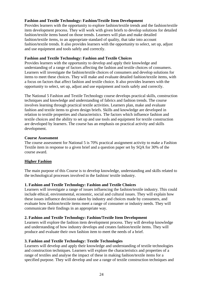# **Fashion and Textile Technology: Fashion/Textile Item Development**

Provides learners with the opportunity to explore fashion/textile trends and the fashion/textile item development process. They will work with given briefs to develop solutions for detailed fashion/textile items based on those trends. Learners will plan and make detailed fashion/textile items, to an appropriate standard of quality, that take into account fashion/textile trends. It also provides learners with the opportunity to select, set up, adjust and use equipment and tools safely and correctly.

# **Fashion and Textile Technology: Fashion and Textile Choices**

Provides learners with the opportunity to develop and apply their knowledge and understanding of a range of factors affecting the fashion and textile choices of consumers. Learners will investigate the fashion/textile choices of consumers and develop solutions for items to meet these choices. They will make and evaluate detailed fashion/textile items, with a focus on factors that affect fashion and textile choice. It also provides learners with the opportunity to select, set up, adjust and use equipment and tools safely and correctly.

The National 5 Fashion and Textile Technology course develops practical skills, construction techniques and knowledge and understanding of fabrics and fashion trends. The course involves learning through practical textile activities. Learners plan, make and evaluate fashion and textile items to given design briefs. Skills and knowledge are developed in relation to textile properties and characteristics. The factors which influence fashion and textile choices and the ability to set up and use tools and equipment for textile construction are developed by learners. The course has an emphasis on practical activity and skills development.

## **Course Assessment**

The course assessment for National 5 is 70% practical assignment activity to make a Fashion Textile item in response to a given brief and a question paper set by SQA for 30% of the course award.

# **Higher Fashion**

The main purpose of this Course is to develop knowledge, understanding and skills related to the technological processes involved in the fashion/ textile industry.

# **1. Fashion and Textile Technology: Fashion and Textile Choices**

Learners will investigate a range of issues influencing the fashion/textile industry. This could include ethical, environmental, economic, social and cultural issues. They will explain how these issues influence decisions taken by industry and choices made by consumers, and evaluate how fashion/textile items meet a range of consumer or industry needs. They will communicate their findings in an appropriate way.

# **2. Fashion and Textile Technology: Fashion/Textile Item Development**

Learners will explore the fashion item development process. They will develop knowledge and understanding of how industry develops and creates fashion/textile items. They will produce and evaluate their own fashion item to meet the needs of a brief.

# **3. Fashion and Textile Technology: Textile Technologies**

Learners will develop and apply their knowledge and understanding of textile technologies and construction techniques. Learners will explore the characteristics and properties of a range of textiles and analyse the impact of these in making fashion/textile items for a specified purpose. They will develop and use a range of textile construction techniques and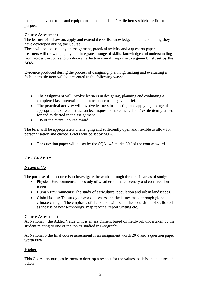independently use tools and equipment to make fashion/textile items which are fit for purpose.

# **Course Assessment**

The learner will draw on, apply and extend the skills, knowledge and understanding they have developed during the Course.

These will be assessed by an assignment, practical activity and a question paper Learners will draw on, apply and integrate a range of skills, knowledge and understanding from across the course to produce an effective overall response to a **given brief, set by the SQA.**

Evidence produced during the process of designing, planning, making and evaluating a fashion/textile item will be presented in the following ways:

- **The assignment** will involve learners in designing, planning and evaluating a completed fashion/textile item in response to the given brief.
- **The practical activity** will involve learners in selecting and applying a range of appropriate textile construction techniques to make the fashion/textile item planned for and evaluated in the assignment.
- $70\frac{\text{ }}{6}$  of the overall course award.

The brief will be appropriately challenging and sufficiently open and flexible to allow for personalisation and choice. Briefs will be set by SQA.

• The question paper will be set by the SOA. 45 marks  $30\frac{\textdegree}{\textdegree}$  of the course award.

# **GEOGRAPHY**

# **National 4/5**

The purpose of the course is to investigate the world through three main areas of study:

- Physical Environments: The study of weather, climate, scenery and conservation issues.
- Human Environments: The study of agriculture, population and urban landscapes.
- Global Issues: The study of world diseases and the issues faced through global climate change. The emphasis of the course will be on the acquisition of skills such as the use of new technology, map reading, report writing etc.

#### **Course Assessment**

At National 4 the Added Value Unit is an assignment based on fieldwork undertaken by the student relating to one of the topics studied in Geography.

At National 5 the final course assessment is an assignment worth 20% and a question paper worth 80%.

# **Higher**

This Course encourages learners to develop a respect for the values, beliefs and cultures of others.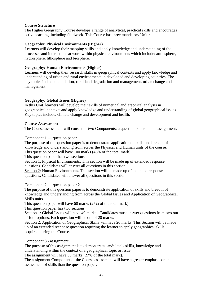# **Course Structure**

The Higher Geography Course develops a range of analytical, practical skills and encourages active learning, including fieldwork. This Course has three mandatory Units:

## **Geography: Physical Environments (Higher)**

Learners will develop their mapping skills and apply knowledge and understanding of the processes and interactions at work within physical environments which include: atmosphere, hydrosphere, lithosphere and biosphere.

## **Geography: Human Environments (Higher)**

Learners will develop their research skills in geographical contexts and apply knowledge and understanding of urban and rural environments in developed and developing countries. The key topics include: population, rural land degradation and management, urban change and management.

# **Geography: Global Issues (Higher)**

In this Unit, learners will develop their skills of numerical and graphical analysis in geographical contexts and apply knowledge and understanding of global geographical issues. Key topics include: climate change and development and health.

#### **Course Assessment**

The Course assessment will consist of two Components: a question paper and an assignment.

Component 1 — question paper 1

The purpose of this question paper is to demonstrate application of skills and breadth of knowledge and understanding from across the Physical and Human units of the course. This question paper will have 100 marks (46% of the total mark).

This question paper has two sections.

Section 1: Physical Environments. This section will be made up of extended response questions. Candidates will answer all questions in this section.

Section 2: Human Environments. This section will be made up of extended response questions. Candidates will answer all questions in this section.

# Component 2 — question paper 2

The purpose of this question paper is to demonstrate application of skills and breadth of knowledge and understanding from across the Global Issues and Application of Geographical Skills units.

This question paper will have 60 marks (27% of the total mark).

This question paper has two sections.

Section 1: Global Issues will have 40 marks. Candidates must answer questions from two out of four options. Each question will be out of 20 marks.

Section 2: Application of Geographical Skills will have 20 marks. This Section will be made up of an extended response question requiring the learner to apply geographical skills acquired during the Course.

# Component 3 - assignment

The purpose of this assignment is to demonstrate candidate's skills, knowledge and understanding within the context of a geographical topic or issue.

The assignment will have 30 marks (27% of the total mark).

The assignment Component of the Course assessment will have a greater emphasis on the assessment of skills than the question paper.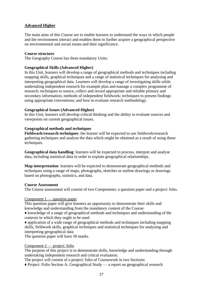# **Advanced Higher**

The main aims of this Course are to enable learners to understand the ways in which people and the environment interact and enables them to further acquire a geographical perspective on environmental and social issues and their significance.

#### **Course structure**

The Geography Course has three mandatory Units:

## **Geographical Skills (Advanced Higher)**

In this Unit, learners will develop a range of geographical methods and techniques including mapping skills, graphical techniques and a range of statistical techniques for analysing and interpreting geographical data. Learners will develop a range of investigating skills while undertaking independent research for example plan and manage a complex programme of research; techniques to source, collect and record appropriate and reliable primary and secondary information; methods of independent fieldwork; techniques to present findings using appropriate conventions; and how to evaluate research methodology.

## **Geographical Issues (Advanced Higher)**

In this Unit, learners will develop critical thinking and the ability to evaluate sources and viewpoints on current geographical issues.

## **Geographical methods and techniques**

**Fieldwork/research techniques**: the learner will be expected to use fieldwork/research gathering techniques and analyse the data which might be obtained as a result of using those techniques.

**Geographical data handling**: learners will be expected to process, interpret and analyse data, including statistical data in order to explain geographical relationships.

**Map interpretation**: learners will be expected to demonstrate geographical methods and techniques using a range of maps, photographs, sketches or outline drawings or drawings based on photographs, statistics, and data.

#### **Course Assessment**

The Course assessment will consist of two Components: a question paper and a project: folio.

#### Component 1 — question paper

This question paper will give learners an opportunity to demonstrate their skills and knowledge and understanding from the mandatory content of the Course:

♦ knowledge of a range of geographical methods and techniques and understanding of the contexts in which they ought to be used

♦ application of a wide range of geographical methods and techniques including mapping skills, fieldwork skills, graphical techniques and statistical techniques for analysing and interpreting geographical data

The question paper will have 50 marks.

#### Component 2 — project: folio

The purpose of this project is to demonstrate skills, knowledge and understanding through undertaking independent research and critical evaluation.

The project will consist of a project: folio of Coursework in two Sections:

♦ Project: Folio Section A: Geographical Study — a report on geographical research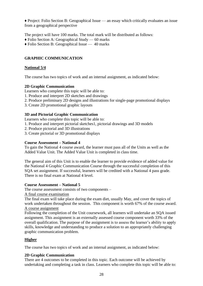♦ Project: Folio Section B: Geographical Issue — an essay which critically evaluates an issue from a geographical perspective

The project will have 100 marks. The total mark will be distributed as follows:

- ♦ Folio Section A: Geographical Study 60 marks
- ♦ Folio Section B: Geographical Issue 40 marks

# **GRAPHIC COMMUNICATION**

# **National 5/4**

The course has two topics of work and an internal assignment, as indicated below:

# **2D Graphic Communication**

Learners who complete this topic will be able to:

- 1. Produce and interpret 2D sketches and drawings
- 2. Produce preliminary 2D designs and illustrations for single-page promotional displays
- 3. Create 2D promotional graphic layouts

# **3D and Pictorial Graphic Communication**

Learners who complete this topic will be able to:

- 1. Produce and interpret pictorial sketches1, pictorial drawings and 3D models
- 2. Produce pictorial and 3D illustrations
- 3. Create pictorial or 3D promotional displays

## **Course Assessment – National 4**

To gain the National 4 course award, the learner must pass all of the Units as well as the Added Value Unit. The Added Value Unit is completed in class time.

The general aim of this Unit is to enable the learner to provide evidence of added value for the National 4 Graphic Communication Course through the successful completion of this SQA set assignment. If successful, learners will be credited with a National 4 pass grade. There is no final exam at National 4 level.

# **Course Assessment – National 5**

The course assessment consists of two components –

A final course examination

The final exam will take place during the exam diet, usually May, and cover the topics of work undertaken throughout the session. This component is worth 67% of the course award. A course assignment

Following the completion of the Unit coursework, all learners will undertake an SQA issued assignment. This assignment is an externally assessed course component worth 33% of the overall qualification. The purpose of the assignment is to assess the learner's ability to apply skills, knowledge and understanding to produce a solution to an appropriately challenging graphic communication problem.

# **Higher**

The course has two topics of work and an internal assignment, as indicated below:

# **2D Graphic Communication**

There are 4 outcomes to be completed in this topic. Each outcome will be achieved by undertaking and completing a task in class. Learners who complete this topic will be able to: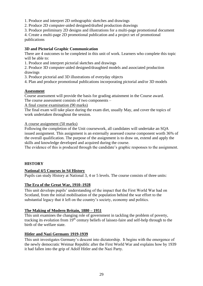1. Produce and interpret 2D orthographic sketches and drawings

2. Produce 2D computer-aided designed/drafted production drawings

3. Produce preliminary 2D designs and illustrations for a multi-page promotional document

4. Create a multi-page 2D promotional publication and a project set of promotional publications

# **3D and Pictorial Graphic Communication**

There are 4 outcomes to be completed in this unit of work. Learners who complete this topic will be able to:

1. Produce and interpret pictorial sketches and drawings

2. Produce 3D computer-aided designed/draughted models and associated production drawings

3. Produce pictorial and 3D illustrations of everyday objects

4. Plan and produce promotional publications incorporating pictorial and/or 3D models

## **Assessment**

Course assessment will provide the basis for grading attainment in the Course award. The course assessment consists of two components –

A final course examination (90 marks)

The final exam will take place during the exam diet, usually May, and cover the topics of work undertaken throughout the session.

A course assignment (50 marks)

Following the completion of the Unit coursework, all candidates will undertake an SQA issued assignment. This assignment is an externally assessed course component worth 36% of the overall qualification. The purpose of the assignment is to draw on, extend and apply the skills and knowledge developed and acquired during the course.

The evidence of this is produced through the candidate's graphic responses to the assignment.

# **HISTORY**

#### **National 4/5 Courses in S4 History**

Pupils can study History at National 3, 4 or 5 levels. The course consists of three units:

# **The Era of the Great War, 1910–1928**

This unit develops pupils' understanding of the impact that the First World War had on Scotland, from the initial mobilisation of the population behind the war effort to the substantial legacy that it left on the country's society, economy and politics.

# **The Making of Modern Britain, 1880 – 1951**

This unit examines the changing role of government in tackling the problem of poverty, tracking its evolution from 19<sup>th</sup> century beliefs of laissez-faire and self-help through to the birth of the welfare state.

#### **Hitler and Nazi Germany 1919-1939**

This unit investigates Germany's descent into dictatorship. It begins with the emergence of the newly democratic Weimar Republic after the First World War and explains how by 1939 it had fallen into the grip of Adolf Hitler and the Nazi Party.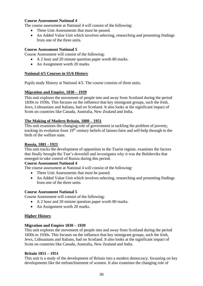## **Course Assessment National 4**

The course assessment at National 4 will consist of the following:

- Three Unit Assessments that must be passed.
- An Added Value Unit which involves selecting, researching and presenting findings from one of the three units.

### **Course Assessment National 5**

Course Assessment will consist of the following:

- A 2 hour and 20 minute question paper worth 80 marks.
- An Assignment worth 20 marks.

## **National 4/5 Courses in S5/6 History**

Pupils study History at National 4/5. The course consists of three units.

## **Migration and Empire, 1830 – 1939**

This unit explores the movement of people into and away from Scotland during the period 1830s to 1930s. This focuses on the influence that key immigrant groups, such the Irish, Jews, Lithuanians and Italians, had on Scotland. It also looks at the significant impact of Scots on countries like Canada, Australia, New Zealand and India.

## **The Making of Modern Britain, 1880 – 1951**

This unit examines the changing role of government in tackling the problem of poverty, tracking its evolution from 19th century beliefs of laissez-faire and self-help through to the birth of the welfare state.

#### **Russia, 1881 - 1921**

This unit tracks the development of opposition to the Tsarist regime, examines the factors that finally brought the Tsar's downfall and investigates why it was the Bolsheviks that emerged to take control of Russia during this period.

#### **Course Assessment National 4**

The course assessment at National 4 will consist of the following:

- Three Unit Assessments that must be passed.
- An Added Value Unit which involves selecting, researching and presenting findings from one of the three units.

#### **Course Assessment National 5**

Course Assessment will consist of the following:

- A 2 hour and 20 minute question paper worth 80 marks.
- An Assignment worth 20 marks.

# **Higher History**

#### **Migration and Empire 1830 – 1939**

This unit explores the movement of people into and away from Scotland during the period 1830s to 1930s. This focuses on the influence that key immigrant groups, such the Irish, Jews, Lithuanians and Italians, had on Scotland. It also looks at the significant impact of Scots on countries like Canada, Australia, New Zealand and India.

#### **Britain 1851 – 1951**

This unit is a study of the development of Britain into a modern democracy, focussing on key developments like the enfranchisement of women. It also examines the changing role of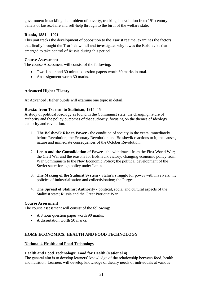government in tackling the problem of poverty, tracking its evolution from  $19<sup>th</sup>$  century beliefs of laissez-faire and self-help through to the birth of the welfare state.

## **Russia, 1881 – 1921**

This unit tracks the development of opposition to the Tsarist regime, examines the factors that finally brought the Tsar's downfall and investigates why it was the Bolsheviks that emerged to take control of Russia during this period.

#### **Course Assessment**

The course Assessment will consist of the following;

- Two 1 hour and 30 minute question papers worth 80 marks in total.
- An assignment worth 30 marks.

# **Advanced Higher History**

At Advanced Higher pupils will examine one topic in detail.

## **Russia: from Tsarism to Stalinism, 1914–45**

A study of political ideology as found in the Communist state, the changing nature of authority and the policy outcomes of that authority, focusing on the themes of ideology, authority and revolution.

- 1. **The Bolshevik Rise to Power -** the condition of society in the years immediately before Revolution; the February Revolution and Bolshevik reactions to it; the causes, nature and immediate consequences of the October Revolution.
- 2. **Lenin and the Consolidation of Power -** the withdrawal from the First World War; the Civil War and the reasons for Bolshevik victory; changing economic policy from War Communism to the New Economic Policy; the political development of the Soviet state; foreign policy under Lenin.
- 3. **The Making of the Stalinist System -** Stalin's struggle for power with his rivals; the policies of industrialisation and collectivisation; the Purges.
- 4. **The Spread of Stalinist Authority -** political, social and cultural aspects of the Stalinist state; Russia and the Great Patriotic War.

#### **Course Assessment**

The course assessment will consist of the following:

- A 3 hour question paper worth 90 marks.
- A dissertation worth 50 marks.

# **HOME ECONOMICS: HEALTH AND FOOD TECHNOLOGY**

#### **National 4 Health and Food Technology**

#### **Health and Food Technology: Food for Health (National 4)**

The general aim is to develop learners' knowledge of the relationship between food, health and nutrition. Learners will develop knowledge of dietary needs of individuals at various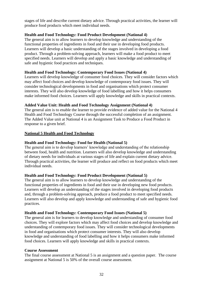stages of life and describe current dietary advice. Through practical activities, the learner will produce food products which meet individual needs.

## **Health and Food Technology: Food Product Development (National 4)**

The general aim is to allow learners to develop knowledge and understanding of the functional properties of ingredients in food and their use in developing food products. Learners will develop a basic understanding of the stages involved in developing a food product. Through a problem-solving approach, learners will make a food product to meet specified needs. Learners will develop and apply a basic knowledge and understanding of safe and hygienic food practices and techniques.

## **Health and Food Technology: Contemporary Food Issues (National 4)**

Learners will develop knowledge of consumer food choices. They will consider factors which may affect food choices and develop knowledge of contemporary food issues. They will consider technological developments in food and organisations which protect consumer interests. They will also develop knowledge of food labelling and how it helps consumers make informed food choices. Learners will apply knowledge and skills in practical contexts.

## **Added Value Unit: Health and Food Technology Assignment (National 4)**

The general aim is to enable the learner to provide evidence of added value for the National 4 Health and Food Technology Course through the successful completion of an assignment. The Added Value unit at National 4 is an Assignment Task to Produce a Food Product in response to a given brief.

## **National 5 Health and Food Technology**

## **Health and Food Technology: Food for Health (National 5)**

The general aim is to develop learners' knowledge and understanding of the relationship between food, health and nutrition. Learners will also develop knowledge and understanding of dietary needs for individuals at various stages of life and explain current dietary advice. Through practical activities, the learner will produce and reflect on food products which meet individual needs.

#### **Health and Food Technology: Food Product Development (National 5)**

The general aim is to allow learners to develop knowledge and understanding of the functional properties of ingredients in food and their use in developing new food products. Learners will develop an understanding of the stages involved in developing food products and, through a problem-solving approach, produce a food product to meet specified needs. Learners will also develop and apply knowledge and understanding of safe and hygienic food practices.

#### **Health and Food Technology: Contemporary Food Issues (National 5)**

The general aim is for learners to develop knowledge and understanding of consumer food choices. They will explore factors which may affect food choices and develop knowledge and understanding of contemporary food issues. They will consider technological developments in food and organisations which protect consumer interests. They will also develop knowledge and understanding of food labelling and how it helps consumers make informed food choices. Learners will apply knowledge and skills in practical contexts.

#### **Course Assessment**

The final course assessment at National 5 is an assignment and a question paper. The course assignment at National 5 is 50% of the overall course assessment.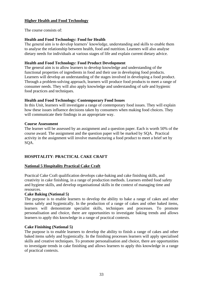# **Higher Health and Food Technology**

The course consists of:

## **Health and Food Technology: Food for Health**

The general aim is to develop learners' knowledge, understanding and skills to enable them to analyse the relationship between health, food and nutrition. Learners will also analyse dietary needs for individuals at various stages of life and explain current dietary advice.

## **Health and Food Technology: Food Product Development**

The general aim is to allow learners to develop knowledge and understanding of the functional properties of ingredients in food and their use in developing food products. Learners will develop an understanding of the stages involved in developing a food product. Through a problem-solving approach, learners will produce food products to meet a range of consumer needs. They will also apply knowledge and understanding of safe and hygienic food practices and techniques.

## **Health and Food Technology***:* **Contemporary Food Issues**

In this Unit, learners will investigate a range of contemporary food issues. They will explain how these issues influence decisions taken by consumers when making food choices. They will communicate their findings in an appropriate way.

#### **Course Assessment**

The learner will be assessed by an assignment and a question paper. Each is worth 50% of the course award. The assignment and the question paper will be marked by SQA. Practical activity in the assignment will involve manufacturing a food product to meet a brief set by SQA.

# **HOSPITALITY**: **PRACTICAL CAKE CRAFT**

# **National 5 Hospitality Practical Cake Craft**

Practical Cake Craft qualification develops cake-baking and cake finishing skills, and creativity in cake finishing, in a range of production methods. Learners embed food safety and hygiene skills, and develop organisational skills in the context of managing time and resources.

#### **Cake Baking (National 5)**

The purpose is to enable learners to develop the ability to bake a range of cakes and other items safely and hygienically. In the production of a range of cakes and other baked items, learners will demonstrate specialist skills, techniques and processes. To promote personalisation and choice, there are opportunities to investigate baking trends and allows learners to apply this knowledge in a range of practical contexts.

#### **Cake Finishing (National 5)**

The purpose is to enable learners to develop the ability to finish a range of cakes and other baked items safely and hygienically. In the finishing processes learners will apply specialised skills and creative techniques. To promote personalisation and choice, there are opportunities to investigate trends in cake finishing and allows learners to apply this knowledge in a range of practical contexts.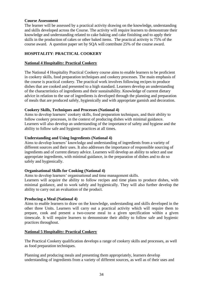#### **Course Assessment**

The learner will be assessed by a practical activity drawing on the knowledge, understanding and skills developed across the Course. The activity will require learners to demonstrate their knowledge and understanding related to cake baking and cake finishing and to apply their skills in the production of cakes or other baked items. The practical activity is 75% of the course award. A question paper set by SQA will contribute 25% of the course award.

# **HOSPITALITY**: **PRACTICAL COOKERY**

## **National 4 Hospitality: Practical Cookery**

The National 4 Hospitality Practical Cookery course aims to enable learners to be proficient in cookery skills, food preparation techniques and cookery processes. The main emphasis of the course is practical cookery. The practical work involves following recipes to produce dishes that are cooked and presented to a high standard. Learners develop an understanding of the characteristics of ingredients and their sustainability. Knowledge of current dietary advice in relation to the use of ingredients is developed through the planning and preparation of meals that are produced safely, hygienically and with appropriate garnish and decoration.

## **Cookery Skills, Techniques and Processes (National 4)**

Aims to develop learners' cookery skills, food preparation techniques, and their ability to follow cookery processes, in the context of producing dishes with minimal guidance. Learners will also develop an understanding of the importance of safety and hygiene and the ability to follow safe and hygienic practices at all times.

## **Understanding and Using Ingredients (National 4)**

Aims to develop learners' knowledge and understanding of ingredients from a variety of different sources and their uses. It also addresses the importance of responsible sourcing of ingredients and of current dietary advice. Learners will develop an ability to select and use appropriate ingredients, with minimal guidance, in the preparation of dishes and to do so safely and hygienically.

#### **Organisational Skills for Cooking (National 4)**

Aims to develop learners' organisational and time management skills.

Learners will acquire the ability to follow recipes and time plans to produce dishes, with minimal guidance, and to work safely and hygienically. They will also further develop the ability to carry out an evaluation of the product.

#### **Producing a Meal (National 4)**

Aims to enable learners to draw on the knowledge, understanding and skills developed in the other three Units. Learners will carry out a practical activity which will require them to prepare, cook and present a two-course meal to a given specification within a given timescale. It will require learners to demonstrate their ability to follow safe and hygienic practices throughout.

# **National 5 Hospitality: Practical Cookery**

The Practical Cookery qualification develops a range of cookery skills and processes, as well as food preparation techniques.

Planning and producing meals and presenting them appropriately, learners develop understanding of ingredients from a variety of different sources, as well as of their uses and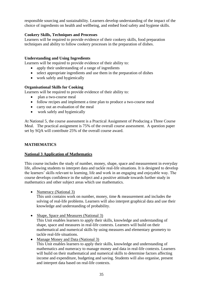responsible sourcing and sustainability. Learners develop understanding of the impact of the choice of ingredients on health and wellbeing, and embed food safety and hygiene skills.

# **Cookery Skills, Techniques and Processes**

Learners will be required to provide evidence of their cookery skills, food preparation techniques and ability to follow cookery processes in the preparation of dishes.

## **Understanding and Using Ingredients**

Learners will be required to provide evidence of their ability to:

- apply their understanding of a range of ingredients
- select appropriate ingredients and use them in the preparation of dishes
- work safely and hygienically

## **Organisational Skills for Cooking**

Learners will be required to provide evidence of their ability to:

- plan a two-course meal
- follow recipes and implement a time plan to produce a two-course meal
- carry out an evaluation of the meal
- work safely and hygienically

At National 5, the course assessment is a Practical Assignment of Producing a Three Course Meal. The practical assignment is 75% of the overall course assessment. A question paper set by SQA will contribute 25% of the overall course award.

# **MATHEMATICS**

#### **National 3 Application of Mathematics**

This course includes the study of number, money, shape, space and measurement in everyday life, allowing students to interpret data and tackle real-life situations. It is designed to develop the learners' skills relevant to learning, life and work in an engaging and enjoyable way. The course develops confidence in the subject and a positive attitude towards further study in mathematics and other subject areas which use mathematics.

• Numeracy (National 3)

This unit contains work on number, money, time & measurement and includes the solving of real-life problems. Learners will also interpret graphical data and use their knowledge and understanding of probability.

- Shape, Space and Measures (National 3) This Unit enables learners to apply their skills, knowledge and understanding of shape, space and measures in real-life contexts. Learners will build on their mathematical and numerical skills by using measures and elementary geometry to tackle real-life situations.
- Manage Money and Data (National 3) This Unit enables learners to apply their skills, knowledge and understanding of mathematics and numeracy to manage money and data in real-life contexts. Learners will build on their mathematical and numerical skills to determine factors affecting income and expenditure, budgeting and saving. Students will also organise, present and interpret data based on real-life contexts.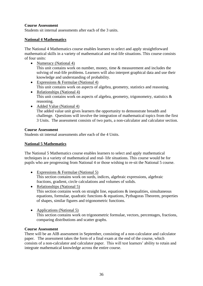# **Course Assessment**

Students sit internal assessments after each of the 3 units.

## **National 4 Mathematics**

The National 4 Mathematics course enables learners to select and apply straightforward mathematical skills in a variety of mathematical and real-life situations. This course consists of four units:

- Numeracy (National 4) This unit contains work on number, money, time & measurement and includes the solving of real-life problems. Learners will also interpret graphical data and use their knowledge and understanding of probability.
- Expressions & Formulae (National 4) This unit contains work on aspects of algebra, geometry, statistics and reasoning.
- Relationships (National 4) This unit contains work on aspects of algebra, geometry, trigonometry, statistics  $\&$ reasoning.
- Added Value (National 4) The added value unit gives learners the opportunity to demonstrate breadth and challenge. Questions will involve the integration of mathematical topics from the first 3 Units. The assessment consists of two parts, a non-calculator and calculator section.

## **Course Assessment**

Students sit internal assessments after each of the 4 Units.

# **National 5 Mathematics**

The National 5 Mathematics course enables learners to select and apply mathematical techniques in a variety of mathematical and real- life situations. This course would be for pupils who are progressing from National 4 or those wishing to re-sit the National 5 course.

- Expressions & Formulae (National 5) This section contains work on surds, indices, algebraic expressions, algebraic fractions, gradient, circle calculations and volumes of solids.
- Relationships (National 5) This section contains work on straight line, equations  $\&$  inequalities, simultaneous equations, formulae, quadratic functions & equations, Pythagoras Theorem, properties of shapes, similar figures and trigonometric functions.
- Applications (National 5)

This section contains work on trigonometric formulae, vectors, percentages, fractions, comparing distributions and scatter graphs.

#### **Course Assessment**

There will be an AIB assessment in September, consisting of a non-calculator and calculator paper. The assessment takes the form of a final exam at the end of the course, which consists of a non-calculator and calculator paper. This will test learners' ability to retain and integrate mathematical knowledge across the entire course.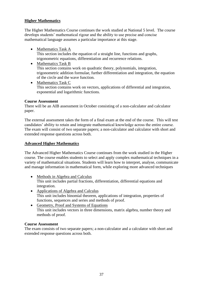# **Higher Mathematics**

The Higher Mathematics Course continues the work studied at National 5 level. The course develops students' mathematical rigour and the ability to use precise and concise mathematical language assumes a particular importance at this stage.

- Mathematics Task A This section includes the equation of a straight line, functions and graphs, trigonometric equations, differentiation and recurrence relations.
- Mathematics Task B This section contains work on quadratic theory, polynomials, integration, trigonometric addition formulae, further differentiation and integration, the equation of the circle and the wave function.
- Mathematics Task C This section contains work on vectors, applications of differential and integration, exponential and logarithmic functions.

## **Course Assessment**

There will be an AIB assessment in October consisting of a non-calculator and calculator paper.

The external assessment takes the form of a final exam at the end of the course. This will test candidates' ability to retain and integrate mathematical knowledge across the entire course. The exam will consist of two separate papers; a non-calculator and calculator with short and extended response questions across both.

#### **Advanced Higher Mathematics**

The Advanced Higher Mathematics Course continues from the work studied in the Higher course. The course enables students to select and apply complex mathematical techniques in a variety of mathematical situations. Students will learn how to interpret, analyse, communicate and manage information in mathematical form, while exploring more advanced techniques

- Methods in Algebra and Calculus This unit includes partial fractions, differentiation, differential equations and integration.
- Applications of Algebra and Calculus This unit includes binomial theorem, applications of integration, properties of functions, sequences and series and methods of proof.
- Geometry, Proof and Systems of Equations This unit includes vectors in three dimensions, matrix algebra, number theory and methods of proof.

#### **Course Assessment**

The exam consists of two separate papers; a non-calculator and a calculator with short and extended response questions across both.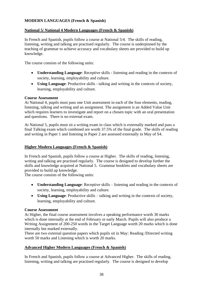# **MODERN LANGUAGES (French & Spanish)**

# **National 5/ National 4 Modern Languages (French & Spanish)**

In French and Spanish, pupils follow a course at National 5/4. The skills of reading, listening, writing and talking are practised regularly. The course is underpinned by the teaching of grammar to achieve accuracy and vocabulary sheets are provided to build up knowledge.

The course consists of the following units:

- **Understanding Language**: Receptive skills listening and reading in the contexts of society, learning, employability and culture.
- **Using Language**: Productive skills talking and writing in the contexts of society, learning, employability and culture.

#### **Course Assessment**

At National 4, pupils must pass one Unit assessment in each of the four elements, reading, listening, talking and writing and an assignment. The assignment is an Added Value Unit which requires learners to investigate and report on a chosen topic with an oral presentation and questions. There is no external exam.

At National 5, pupils must sit a writing exam in class which is externally marked and pass a final Talking exam which combined are worth 37.5% of the final grade. The skills of reading and writing in Paper 1 and listening in Paper 2 are assessed externally in May of S4.

# **Higher Modern Languages (French & Spanish)**

In French and Spanish, pupils follow a course at Higher. The skills of reading, listening, writing and talking are practised regularly. The course is designed to develop further the skills and knowledge acquired at National 5. Grammar booklets and vocabulary sheets are provided to build up knowledge.

The course consists of the following units:

- **Understanding Language**: Receptive skills listening and reading in the contexts of society, learning, employability and culture.
- **Using Language**: Productive skills talking and writing in the contexts of society, learning, employability and culture.

#### **Course Assessment**

At Higher, the final course assessment involves a speaking performance worth 30 marks which is done internally at the end of February or early March. Pupils will also produce a Writing Assignment of 200-250 words in the Target Language worth 20 marks which is done internally but marked externally.

There are two external question papers which pupils sit in May: Reading /Directed writing worth 50 marks and Listening which is worth 20 marks.

# **Advanced Higher Modern Languages (French & Spanish)**

In French and Spanish, pupils follow a course at Advanced Higher. The skills of reading, listening, writing and talking are practised regularly. The course is designed to develop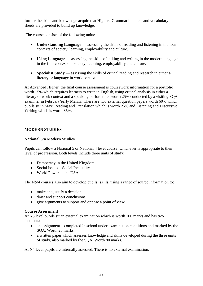further the skills and knowledge acquired at Higher. Grammar booklets and vocabulary sheets are provided to build up knowledge.

The course consists of the following units:

- **Understanding Language** assessing the skills of reading and listening in the four contexts of society, learning, employability and culture.
- **Using Language** assessing the skills of talking and writing in the modern language in the four contexts of society, learning, employability and culture.
- **Specialist Study** assessing the skills of critical reading and research in either a literary or language in work context.

At Advanced Higher, the final course assessment is coursework information for a portfolio worth 15% which requires learners to write in English, using critical analysis in either a literary or work context and a speaking performance worth 25% conducted by a visiting SQA examiner in February/early March. There are two external question papers worth 60% which pupils sit in May: Reading and Translation which is worth 25% and Listening and Discursive Writing which is worth 35%.

# **MODERN STUDIES**

# **National 5/4 Modern Studies**

Pupils can follow a National 5 or National 4 level course, whichever is appropriate to their level of progression. Both levels include three units of study:

- Democracy in the United Kingdom
- Social Issues Social Inequality
- World Powers the USA

The N5/4 courses also aim to develop pupils' skills, using a range of source information to:

- make and justify a decision
- draw and support conclusions
- give arguments to support and oppose a point of view

#### **Course Assessment**

At N5 level pupils sit an external examination which is worth 100 marks and has two elements:

- an assignment completed in school under examination conditions and marked by the SQA. Worth 20 marks.
- a written paper which assesses knowledge and skills developed during the three units of study, also marked by the SQA. Worth 80 marks.

At N4 level pupils are internally assessed. There is no external examination.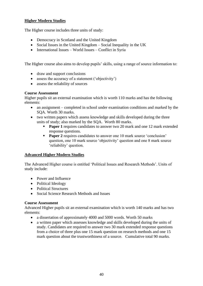# **Higher Modern Studies**

The Higher course includes three units of study:

- Democracy in Scotland and the United Kingdom
- Social Issues in the United Kingdom Social Inequality in the UK
- International Issues World Issues Conflict in Syria

The Higher course also aims to develop pupils' skills, using a range of source information to:

- draw and support conclusions
- assess the accuracy of a statement ('objectivity')
- assess the reliability of sources

# **Course Assessment**

Higher pupils sit an external examination which is worth 110 marks and has the following elements:

- an assignment completed in school under examination conditions and marked by the SQA. Worth 30 marks.
- two written papers which assess knowledge and skills developed during the three units of study; also marked by the SQA. Worth 80 marks.
	- **Paper 1** requires candidates to answer two 20 mark and one 12 mark extended response questions.
	- **Paper 2** requires candidates to answer one 10 mark source 'conclusion' question, one 10 mark source 'objectivity' question and one 8 mark source 'reliability' question.

# **Advanced Higher Modern Studies**

The Advanced Higher course is entitled 'Political Issues and Research Methods'. Units of study include:

- Power and Influence
- Political Ideology
- Political Structures
- Social Science Research Methods and Issues

# **Course Assessment**

Advanced Higher pupils sit an external examination which is worth 140 marks and has two elements:

- a dissertation of approximately 4000 and 5000 words. Worth 50 marks
- a written paper which assesses knowledge and skills developed during the units of study. Candidates are required to answer two 30 mark extended response questions from a choice of three plus one 15 mark question on research methods and one 15 mark question about the trustworthiness of a source. Cumulative total 90 marks.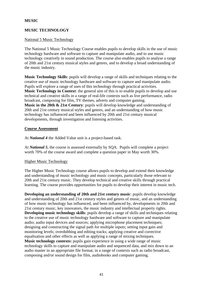# **MUSIC**

# **MUSIC TECHNOLOGY**

## National 5 Music Technology

The National 5 Music Technology Course enables pupils to develop skills in the use of music technology hardware and software to capture and manipulate audio, and to use music technology creatively in sound production. The course also enables pupils to analyse a range of 20th and 21st century musical styles and genres, and to develop a broad understanding of the music industry.

**Music Technology Skills**: pupils will develop a range of skills and techniques relating to the creative use of music technology hardware and software to capture and manipulate audio. Pupils will explore a range of uses of this technology through practical activities. **Music Technology in Context**: the general aim of this is to enable pupils to develop and use technical and creative skills in a range of real-life contexts such as live performance, radio broadcast, composing for film, TV themes, adverts and computer gaming. **Music in the 20th & 21st Century**: pupils will develop knowledge and understanding of 20th and 21st century musical styles and genres, and an understanding of how music technology has influenced and been influenced by 20th and 21st century musical developments, through investigation and listening activities.

#### **Course Assessment**

At *National 4* the Added Value unit is a project-based task.

At *National 5*, the course is assessed externally by SQA. Pupils will complete a project worth 70% of the course award and complete a question paper in May worth 30%.

#### Higher Music Technology

The Higher Music Technology course allows pupils to develop and extend their knowledge and understanding of music technology and music concepts, particularly those relevant to 20th and 21st century music. They develop technical and creative skills through practical learning. The course provides opportunities for pupils to develop their interest in music tech.

**Developing an understanding of 20th and 21st century music**: pupils develop knowledge and understanding of 20th and 21st century styles and genres of music, and an understanding of how music technology has influenced, and been influenced by, developments in 20th and 21st century music, key innovators, the music industry and intellectual property rights. **Developing music technology skills**: pupils develop a range of skills and techniques relating to the creative use of music technology hardware and software to capture and manipulate audio; audio input devices and sources; applying microphone placement techniques; designing and constructing the signal path for multiple inputs; setting input gain and monitoring levels; overdubbing and editing tracks; applying creative and corrective equalisation and other effects as well as applying a range of mixing techniques. **Music technology contexts:** pupils gain experience in using a wide range of music technology skills to capture and manipulate audio and sequenced data, and mix down to an audio master in an appropriate file format, in a range of contexts such as radio broadcast, composing and/or sound design for film, audiobooks and computer gaming.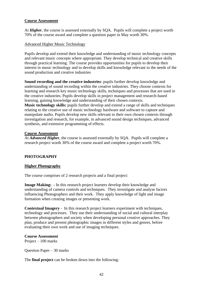### **Course Assessment**

At *Higher*, the course is assessed externally by SQA. Pupils will complete a project worth 70% of the course award and complete a question paper in May worth 30%.

#### Advanced Higher Music Technology

Pupils develop and extend their knowledge and understanding of music technology concepts and relevant music concepts where appropriate. They develop technical and creative skills through practical learning. The course provides opportunities for pupils to develop their interest in music technology and to develop skills and knowledge relevant to the needs of the sound production and creative industries

**Sound recording and the creative industries**: pupils further develop knowledge and understanding of sound recording within the creative industries. They choose contexts for learning and research key music technology skills, techniques and processes that are used in the creative industries. Pupils develop skills in project management and research-based learning, gaining knowledge and understanding of their chosen contexts. **Music technology skills:** pupils further develop and extend a range of skills and techniques relating to the creative use of music technology hardware and software to capture and manipulate audio. Pupils develop new skills relevant to their own chosen contexts through investigation and research, for example, in advanced sound design techniques, advanced synthesis, and extensive programming of effects.

#### **Course Assessment**

At *Advanced Higher*, the course is assessed externally by SQA. Pupils will complete a research project worth 30% of the course award and complete a project worth 70%.

# **PHOTOGRAPHY**

# **Higher Photography**

The course comprises of 2 research projects and a final project:

**Image Making:** - In this research project learners develop their knowledge and understanding of camera controls and techniques. They investigate and analyse factors influencing Photographers and their work. They apply knowledge of light and image formation when creating images or presenting work.

**Contextual Imagery** - In this research project learners experiment with techniques, technology and processes. They use their understanding of social and cultural interplay between photographers and society when developing personal creative approaches. They plan, produce and present photographic images in different styles and genres, before evaluating their own work and use of imaging techniques.

# **Course Assessment**

Project – 100 marks

Question Paper – 30 marks

The **final project** can be broken down into the following: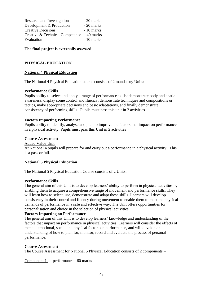| Research and Investigation                 | - 20 marks |
|--------------------------------------------|------------|
| Development & Production                   | - 20 marks |
| <b>Creative Decisions</b>                  | - 10 marks |
| Creative & Technical Competence - 40 marks |            |
| Evaluation                                 | - 10 marks |

**The final project is externally assessed**.

# **PHYSICAL EDUCATION**

## **National 4 Physical Education**

The National 4 Physical Education course consists of 2 mandatory Units:

#### **Performance Skills**

Pupils ability to select and apply a range of performance skills; demonstrate body and spatial awareness, display some control and fluency, demonstrate techniques and compositions or tactics, make appropriate decisions and basic adaptations, and finally demonstrate consistency of performing skills. Pupils must pass this unit in 2 activities.

## **Factors Impacting Performance**

Pupils ability to identify, analyse and plan to improve the factors that impact on performance in a physical activity. Pupils must pass this Unit in 2 activities

#### **Course Assessment**

Added Value Unit

At National 4 pupils will prepare for and carry out a performance in a physical activity. This is a pass or fail.

#### **National 5 Physical Education**

The National 5 Physical Education Course consists of 2 Units:

#### **Performance Skills**

The general aim of this Unit is to develop learners' ability to perform in physical activities by enabling them to acquire a comprehensive range of movement and performance skills. They will learn how to select, use, demonstrate and adapt these skills. Learners will develop consistency in their control and fluency during movement to enable them to meet the physical demands of performance in a safe and effective way. The Unit offers opportunities for personalisation and choice in the selection of physical activities.

#### **Factors Impacting on Performance**

The general aim of this Unit is to develop learners' knowledge and understanding of the factors that impact on performance in physical activities. Learners will consider the effects of mental, emotional, social and physical factors on performance, and will develop an understanding of how to plan for, monitor, record and evaluate the process of personal performance.

#### **Course Assessment**

The Course Assessment for National 5 Physical Education consists of 2 components –

Component 1 — performance - 60 marks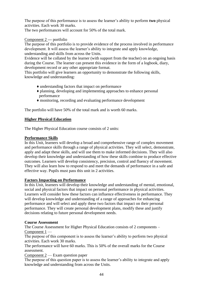The purpose of this performance is to assess the learner's ability to perform **two** physical activities. Each work 30 marks.

The two performances will account for 50% of the total mark.

# Component 2 **—** portfolio

The purpose of this portfolio is to provide evidence of the process involved in performance development. It will assess the learner's ability to integrate and apply knowledge, understanding and skills from across the Units.

Evidence will be collated by the learner (with support from the teacher) on an ongoing basis during the Course. The learner can present this evidence in the form of a logbook, diary, development record or any other appropriate format.

This portfolio will give learners an opportunity to demonstrate the following skills, knowledge and understanding:

- ♦ understanding factors that impact on performance
- ♦ planning, developing and implementing approaches to enhance personal performance
- ♦ monitoring, recording and evaluating performance development

The portfolio will have 50% of the total mark and is worth 60 marks.

# **Higher Physical Education**

The Higher Physical Education course consists of 2 units:

# **Performance Skills**

In this Unit, learners will develop a broad and comprehensive range of complex movement and performance skills through a range of physical activities. They will select, demonstrate, apply and adapt these skills, and will use them to make informed decisions. They will also develop their knowledge and understanding of how these skills combine to produce effective outcomes. Learners will develop consistency, precision, control and fluency of movement. They will also learn how to respond to and meet the demands of performance in a safe and effective way. Pupils must pass this unit in 2 activities.

# **Factors Impacting on Performance**

In this Unit, learners will develop their knowledge and understanding of mental, emotional, social and physical factors that impact on personal performance in physical activities. Learners will consider how these factors can influence effectiveness in performance. They will develop knowledge and understanding of a range of approaches for enhancing performance and will select and apply these two factors that impact on their personal performance. They will create personal development plans, modify these and justify decisions relating to future personal development needs.

#### **Course Assessment**

The Course Assessment for Higher Physical Education consists of 2 components – Component 1 —

The purpose of this component is to assess the learner's ability to perform two physical activities. Each work 30 marks.

The performance will have 60 marks. This is 50% of the overall marks for the Course assessment.

Component 2 — Exam question paper

The purpose of this question paper is to assess the learner's ability to integrate and apply knowledge and understanding from across the Units.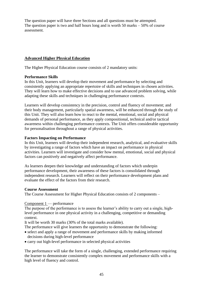The question paper will have three Sections and all questions must be attempted. The question paper is two and half hours long and is worth 50 marks – 50% of course assessment.

# **Advanced Higher Physical Education**

The Higher Physical Education course consists of 2 mandatory units:

## **Performance Skills**

In this Unit, learners will develop their movement and performance by selecting and consistently applying an appropriate repertoire of skills and techniques in chosen activities. They will learn how to make effective decisions and to use advanced problem solving, while adapting these skills and techniques in challenging performance contexts.

Learners will develop consistency in the precision, control and fluency of movement; and their body management, particularly spatial awareness, will be enhanced through the study of this Unit. They will also learn how to react to the mental, emotional, social and physical demands of personal performance, as they apply compositional, technical and/or tactical awareness within challenging performance contexts. The Unit offers considerable opportunity for personalisation throughout a range of physical activities.

## **Factors Impacting on Performance**

In this Unit, learners will develop their independent research, analytical, and evaluative skills by investigating a range of factors which have an impact on performance in physical activities. Learners will investigate and consider how mental, emotional, social and physical factors can positively and negatively affect performance.

As learners deepen their knowledge and understanding of factors which underpin performance development, their awareness of these factors is consolidated through independent research. Learners will reflect on their performance development plans and evaluate the effect of the factors from their research.

#### **Course Assessment**

The Course Assessment for Higher Physical Education consists of 2 components –

#### Component 1 — performance

The purpose of the performance is to assess the learner's ability to carry out a single, highlevel performance in one physical activity in a challenging, competitive or demanding context.

It will be worth 30 marks (30% of the total marks available).

The performance will give learners the opportunity to demonstrate the following:

- select and apply a range of movement and performance skills by making informed decisions during high-level performance
- carry out high-level performance in selected physical activities

The performance will take the form of a single, challenging, extended performance requiring the learner to demonstrate consistently complex movement and performance skills with a high level of fluency and control.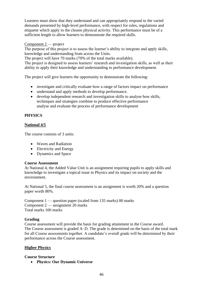Learners must show that they understand and can appropriately respond to the varied demands presented by high-level performance, with respect for rules, regulations and etiquette which apply to the chosen physical activity. This performance must be of a sufficient length to allow learners to demonstrate the required skills.

# Component 2 — project

The purpose of this project is to assess the learner's ability to integrate and apply skills, knowledge and understanding from across the Units.

The project will have 70 marks (70% of the total marks available).

The project is designed to assess learners' research and investigation skills, as well as their ability to apply their knowledge and understanding to performance development.

The project will give learners the opportunity to demonstrate the following:

- investigate and critically evaluate how a range of factors impact on performance
- understand and apply methods to develop performance.
- develop independent research and investigation skills to analyse how skills, techniques and strategies combine to produce effective performance analyse and evaluate the process of performance development

# **PHYSICS**

# **National 4/5**

The course consists of 3 units:

- Waves and Radiation
- Electricity and Energy
- Dynamics and Space

# **Course Assessment**

At National 4, the Added Value Unit is an assignment requiring pupils to apply skills and knowledge to investigate a topical issue in Physics and its impact on society and the environment.

At National 5, the final course assessment is an assignment is worth 20% and a question paper worth 80%.

Component 1 — question paper (scaled from 135 marks) 80 marks Component 2 — assignment 20 marks Total marks 100 marks

# **Grading**

Course assessment will provide the basis for grading attainment in the Course award. The Course assessment is graded A–D. The grade is determined on the basis of the total mark for all Course assessments together. A candidate's overall grade will be determined by their performance across the Course assessment.

# **Higher Physics**

# **Course Structure**

• **Physics: Our Dynamic Universe**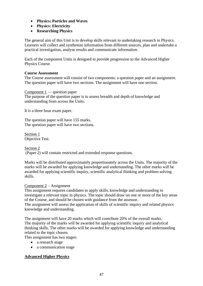- **Physics: Particles and Waves**
- **Physics: Electricity**
- **Researching Physics**

The general aim of this Unit is to develop skills relevant to undertaking research in Physics. Learners will collect and synthesize information from different sources, plan and undertake a practical investigation, analyse results and communicate information.

Each of the component Units is designed to provide progression to the Advanced Higher Physics Course.

## **Course Assessment**

The Course assessment will consist of two components: a question paper and an assignment. The question paper will have two sections. The assignment will have one section.

Component 1 — question paper The purpose of the question paper is to assess breadth and depth of knowledge and understanding from across the Units.

It is a three hour exam paper.

The question paper will have 155 marks. The question paper will have two sections.

Section 1 Objective Test.

Section 2 (Paper 2) will contain restricted and extended response questions.

Marks will be distributed approximately proportionately across the Units. The majority of the marks will be awarded for applying knowledge and understanding. The other marks will be awarded for applying scientific inquiry, scientific analytical thinking and problem solving skills.

# Component 2 – Assignment

This assignment requires candidates to apply skills, knowledge and understanding to investigate a relevant topic in physics. The topic should draw on one or more of the key areas of the Course, and should be chosen with guidance from the assessor.

The assignment will assess the application of skills of scientific inquiry and related physics knowledge and understanding.

The assignment will have 20 marks which will contribute 20% of the overall marks. The majority of the marks will be awarded for applying scientific inquiry and analytical thinking skills. The other marks will be awarded for applying knowledge and understanding related to the topic chosen.

This assignment has two stages:

- a research stage
- a communication stage

# **Advanced Higher Physics**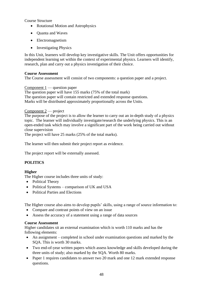Course Structure

- Rotational Motion and Astrophysics
- Quanta and Waves
- Electromagnetism
- Investigating Physics

In this Unit, learners will develop key investigative skills. The Unit offers opportunities for independent learning set within the context of experimental physics. Learners will identify, research, plan and carry out a physics investigation of their choice.

## **Course Assessment**

The Course assessment will consist of two components: a question paper and a project.

Component 1 — question paper The question paper will have 155 marks (75% of the total mark) The question paper will contain restricted and extended response questions. Marks will be distributed approximately proportionally across the Units.

## Component 2 — project

The purpose of the project is to allow the learner to carry out an in-depth study of a physics topic. The learner will individually investigate/research the underlying physics. This is an open-ended task which may involve a significant part of the work being carried out without close supervision

The project will have 25 marks (25% of the total marks).

The learner will then submit their project report as evidence.

The project report will be externally assessed.

# **POLITICS**

# **Higher**

The Higher course includes three units of study:

- Political Theory
- Political Systems comparison of UK and USA
- Political Parties and Elections

The Higher course also aims to develop pupils' skills, using a range of source information to:

- Compare and contrast points of view on an issue
- Assess the accuracy of a statement using a range of data sources

#### **Course Assessment**

Higher candidates sit an external examination which is worth 110 marks and has the following elements:

- An assignment completed in school under examination questions and marked by the SQA. This is worth 30 marks.
- Two end-of-year written papers which assess knowledge and skills developed during the three units of study; also marked by the SQA. Worth 80 marks.
- Paper 1 requires candidates to answer two 20 mark and one 12 mark extended response questions.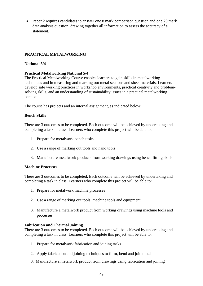• Paper 2 requires candidates to answer one 8 mark comparison question and one 20 mark data analysis question, drawing together all information to assess the accuracy of a statement.

# **PRACTICAL METALWORKING**

# **National 5/4**

# **Practical Metalworking National 5/4**

The Practical Metalworking Course enables learners to gain skills in metalworking techniques and in measuring and marking out metal sections and sheet materials. Learners develop safe working practices in workshop environments, practical creativity and problemsolving skills, and an understanding of sustainability issues in a practical metalworking context.

The course has projects and an internal assignment, as indicated below:

## **Bench Skills**

There are 3 outcomes to be completed. Each outcome will be achieved by undertaking and completing a task in class. Learners who complete this project will be able to:

- 1. Prepare for metalwork bench tasks
- 2. Use a range of marking out tools and hand tools
- 3. Manufacture metalwork products from working drawings using bench fitting skills

#### **Machine Processes**

There are 3 outcomes to be completed. Each outcome will be achieved by undertaking and completing a task in class. Learners who complete this project will be able to:

- 1. Prepare for metalwork machine processes
- 2. Use a range of marking out tools, machine tools and equipment
- 3. Manufacture a metalwork product from working drawings using machine tools and processes

# **Fabrication and Thermal Joining**

There are 3 outcomes to be completed. Each outcome will be achieved by undertaking and completing a task in class. Learners who complete this project will be able to:

- 1. Prepare for metalwork fabrication and joining tasks
- 2. Apply fabrication and joining techniques to form, bend and join metal
- 3. Manufacture a metalwork product from drawings using fabrication and joining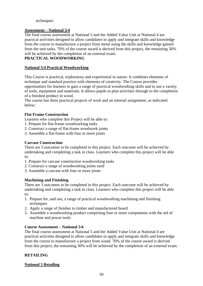# techniques

## **Assessment – National 5/4**

The final course assessment at National 5 and the Added Value Unit at National 4 are practical activities designed to allow candidates to apply and integrate skills and knowledge from the course to manufacture a project from metal using the skills and knowledge gained from the unit tasks. 70% of the course award is derived from this project, the remaining 30% will be achieved by the completion of an external exam.

# **PRACTICAL WOODWORKING**

### **National 5/4 Practical Woodworking**

This Course is practical, exploratory and experiential in nature. It combines elements of technique and standard practice with elements of creativity. The Course provides opportunities for learners to gain a range of practical woodworking skills and to use a variety of tools, equipment and materials. It allows pupils to plan activities through to the completion of a finished product in wood.

The course has three practical projects of work and an internal assignment, as indicated below:

## **Flat Frame Construction**

Learners who complete this Project will be able to:

- 1. Prepare for flat-frame woodworking tasks
- 2. Construct a range of flat-frame woodwork joints
- 3. Assemble a flat-frame with four or more joints

## **Carcase Construction**

There are 3 outcomes to be completed in this project. Each outcome will be achieved by undertaking and completing a task in class. Learners who complete this project will be able to:

- 1. Prepare for carcase construction woodworking tasks
- 2. Construct a range of woodworking joints used
- 3. Assemble a carcase with four or more joints

# **Machining and Finishing**

There are 3 outcomes to be completed in this project. Each outcome will be achieved by undertaking and completing a task in class. Learners who complete this project will be able to:

- 1. Prepare for, and use, a range of practical woodworking machining and finishing techniques
- 2. Apply a range of finishes to timber and manufactured board
- 3. Assemble a woodworking product comprising four or more components with the aid of machine and power tools

#### **Course Assessment – National 5/4**

The final course assessment at National 5 and the Added Value Unit at National 4 are practical activities designed to allow candidates to apply and integrate skills and knowledge from the course to manufacture a project from wood. 70% of the course award is derived from this project, the remaining 30% will be achieved by the completion of an external exam.

# **RETAILING**

# **National 5 Retailing**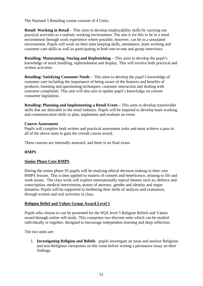The National 5 Retailing course consists of 4 Units:

**Retail: Working in Retail** – This aims to develop employability skills by carrying out practical activities in a realistic working environment. The aim is for this to be in a retail environment through work experience where possible, however, can be in a simulated environment. Pupils will work on their time keeping skills, attendance, team working and customer care skills as well as participating in both one-to-one and group interviews.

**Retailing: Maintaining, Storing and Replenishing –** This aims to develop the pupil's knowledge of stock handling, replenishment and display. This will involve both practical and written activities.

**Retailing: Satisfying Customer Needs –** This aims to develop the pupil's knowledge of customer care including the importance of being aware of the features and benefits of products, listening and questioning techniques, customer interaction and dealing with customer complaints. This unit will also aim to update pupil's knowledge on current consumer legislation.

**Retailing: Planning and Implementing a Retail Event –** This aims to develop transferable skills that are desirable to the retail industry. Pupils will be required to develop team working and communication skills to plan, implement and evaluate an event.

#### **Course Assessment**

Pupils will complete both written and practical assessment tasks and must achieve a pass in all of the above units to gain the overall course award.

These courses are internally assessed, and there is no final exam.

# **RMPS**

# **Senior Phase Core RMPS**

During the senior phase S5 pupils will be studying ethical decision making in their core RMPS lessons. This is then applied to matters of consent and beneficence, relating to life and work issues. The class work will explore internationally topical themes such as; defence and conscription, medical intervention, power of attorney, gender and identity and organ donation. Pupils will be supported in furthering their skills of analysis and evaluation, through written and oral activities in class.

# **Religion Belief and Values Group Award Level 5**

Pupils who choose to can be presented for the SQA level 5 Religion Beliefs and Values award through online self-study. This comprises two discrete units which can be studied individually or together, designed to encourage independent learning and deep reflection.

The two units are:

1. **Investigating Religion and Beliefs**: pupils investigate an issue and analyse Religious and non-Religious viewpoints on this issue before writing a persuasive essay on their findings.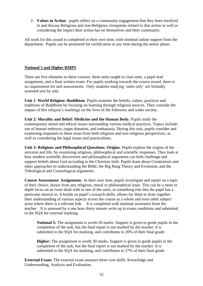2. **Values in Action**: pupils reflect on a community engagement that they been involved in and discuss Religious and non-Religious viewpoints related to that action as well as considering the impact their action has on themselves and their community.

All work for this award is completed in their own time, with minimal online support from the department. Pupils can be presented for certification at any time during the senior phase.

# **National 5 and Higher RMPS**

There are five elements to these courses: three units taught in class time, a pupil lead assignment, and a final written exam. For pupils working towards the course award, there is no requirement for unit assessments. Only students studying 'units only' are formally assessed unit by unit.

**Unit 1**: **World Religion: Buddhism**. Pupils examine the beliefs, values, practices and traditions of Buddhism by focusing on learning through religious sources. They consider the impact of this religion's teachings on the lives of the followers and wider society.

**Unit 2: Morality and Belief: Medicine and the Human Body.** Pupils study the contemporary moral and ethical issues surrounding various medical practices. Topics include: use of human embryos, organ donation, and euthanasia. During this unit, pupils consider and examining responses to these issue from both religious and non-religious perspectives, as well as considering the legal issues and practicalities.

**Unit 3: Religious and Philosophical Questions: Origins.** Pupils explore the origins of the universe and life, by examining religious, philosophical and scientific responses. They look at how modern scientific discoveries and philosophical arguments can both challenge and support beliefs about God according to the Christian faith. Pupils learn about Creationism and other approaches to understanding the Bible, the Big Bang Theory and Evolution, and the Teleological and Cosmological arguments.

**Course Assessment: Assignment.** In their own time, pupils investigate and report on a topic of their choice, drawn from any religious, moral or philosophical issue. This can be a more in depth focus on an issue dealt with in one of the units, or something else that the pupil has a particular interest in. It builds on pupil's research skills, allows for them to draw together their understanding of various aspects across the course as a whole and even other subject areas where there is a relevant link. It is completed with minimal assistance from the teacher. It is assessed by a one hour thirty minute write up in exam conditions and submitted to the SQA for external marking.

**National 5:** The assignment is worth 20 marks. Support is given to guide pupils in the completion of the task, but the final report is not marked by the teacher. It is submitted to the SQA for marking, and contributes to 20% of their final grade.

**Higher:** The assignment is worth 30 marks. Support is given to guide pupils in the completion of the task, but the final report is not marked by the teacher. It is submitted to the SQA for marking, and contributes to 27% of their final grade.

**External Exam:** The external exam assesses three core skills: Knowledge and Understanding, Analysis and Evaluation.